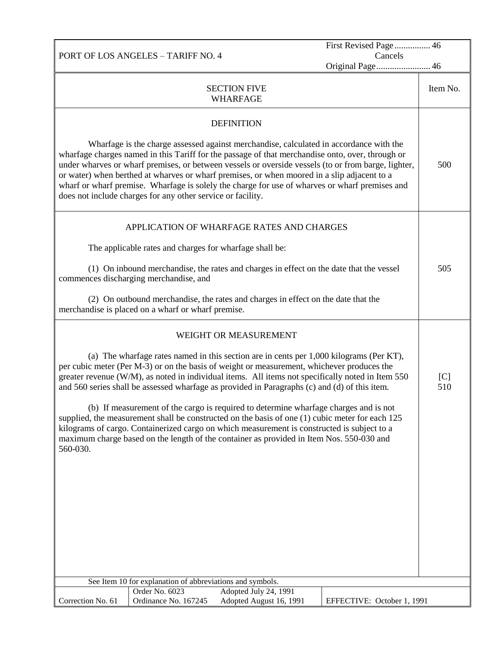PORT OF LOS ANGELES – TARIFF NO. 4 Cancels Original Page........................ 46 SECTION FIVE WHARFAGE Item No. **DEFINITION** Wharfage is the charge assessed against merchandise, calculated in accordance with the wharfage charges named in this Tariff for the passage of that merchandise onto, over, through or under wharves or wharf premises, or between vessels or overside vessels (to or from barge, lighter, or water) when berthed at wharves or wharf premises, or when moored in a slip adjacent to a wharf or wharf premise. Wharfage is solely the charge for use of wharves or wharf premises and does not include charges for any other service or facility. 500 APPLICATION OF WHARFAGE RATES AND CHARGES The applicable rates and charges for wharfage shall be: (1) On inbound merchandise, the rates and charges in effect on the date that the vessel commences discharging merchandise, and (2) On outbound merchandise, the rates and charges in effect on the date that the merchandise is placed on a wharf or wharf premise. 505 WEIGHT OR MEASUREMENT (a) The wharfage rates named in this section are in cents per 1,000 kilograms (Per KT), per cubic meter (Per M-3) or on the basis of weight or measurement, whichever produces the greater revenue (W/M), as noted in individual items. All items not specifically noted in Item 550 and 560 series shall be assessed wharfage as provided in Paragraphs (c) and (d) of this item. (b) If measurement of the cargo is required to determine wharfage charges and is not supplied, the measurement shall be constructed on the basis of one (1) cubic meter for each 125 kilograms of cargo. Containerized cargo on which measurement is constructed is subject to a maximum charge based on the length of the container as provided in Item Nos. 550-030 and 560-030.  $[C]$ 510

First Revised Page ................ 46

| See Item 10 for explanation of abbreviations and symbols. |                      |                         |                            |
|-----------------------------------------------------------|----------------------|-------------------------|----------------------------|
|                                                           | Order No. 6023       | Adopted July 24, 1991   |                            |
| Correction No. 61                                         | Ordinance No. 167245 | Adopted August 16, 1991 | EFFECTIVE: October 1, 1991 |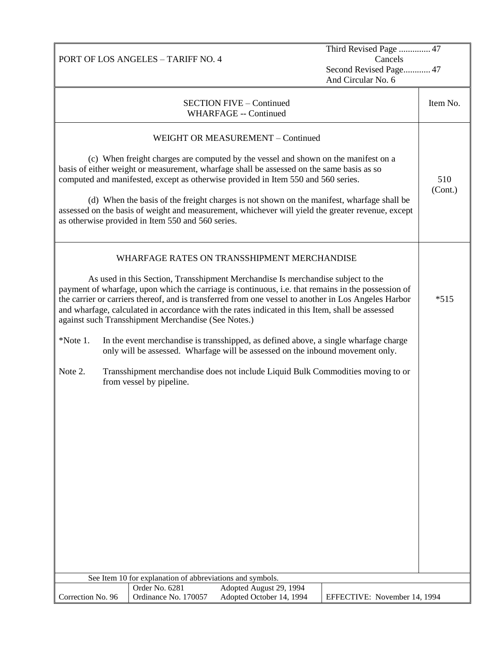| Third Revised Page  47<br>Cancels<br>PORT OF LOS ANGELES - TARIFF NO. 4<br>Second Revised Page 47<br>And Circular No. 6 |  |                                                                                       |                                                                                                                                                                                                                                                                                                                                                                                                                                                                                                             |                              |                |
|-------------------------------------------------------------------------------------------------------------------------|--|---------------------------------------------------------------------------------------|-------------------------------------------------------------------------------------------------------------------------------------------------------------------------------------------------------------------------------------------------------------------------------------------------------------------------------------------------------------------------------------------------------------------------------------------------------------------------------------------------------------|------------------------------|----------------|
|                                                                                                                         |  |                                                                                       | <b>SECTION FIVE - Continued</b><br><b>WHARFAGE -- Continued</b>                                                                                                                                                                                                                                                                                                                                                                                                                                             |                              | Item No.       |
|                                                                                                                         |  | as otherwise provided in Item 550 and 560 series.                                     | WEIGHT OR MEASUREMENT - Continued<br>(c) When freight charges are computed by the vessel and shown on the manifest on a<br>basis of either weight or measurement, wharfage shall be assessed on the same basis as so<br>computed and manifested, except as otherwise provided in Item 550 and 560 series.<br>(d) When the basis of the freight charges is not shown on the manifest, wharfage shall be<br>assessed on the basis of weight and measurement, whichever will yield the greater revenue, except |                              | 510<br>(Cont.) |
|                                                                                                                         |  | against such Transshipment Merchandise (See Notes.)                                   | WHARFAGE RATES ON TRANSSHIPMENT MERCHANDISE<br>As used in this Section, Transshipment Merchandise Is merchandise subject to the<br>payment of wharfage, upon which the carriage is continuous, i.e. that remains in the possession of<br>the carrier or carriers thereof, and is transferred from one vessel to another in Los Angeles Harbor<br>and wharfage, calculated in accordance with the rates indicated in this Item, shall be assessed                                                            |                              | $*515$         |
| $*Note 1.$                                                                                                              |  |                                                                                       | In the event merchandise is transshipped, as defined above, a single wharfage charge<br>only will be assessed. Wharfage will be assessed on the inbound movement only.                                                                                                                                                                                                                                                                                                                                      |                              |                |
| Note 2.                                                                                                                 |  | from vessel by pipeline.<br>See Item 10 for explanation of abbreviations and symbols. | Transshipment merchandise does not include Liquid Bulk Commodities moving to or                                                                                                                                                                                                                                                                                                                                                                                                                             |                              |                |
|                                                                                                                         |  | Order No. 6281                                                                        | Adopted August 29, 1994                                                                                                                                                                                                                                                                                                                                                                                                                                                                                     |                              |                |
| Correction No. 96                                                                                                       |  | Ordinance No. 170057                                                                  | Adopted October 14, 1994                                                                                                                                                                                                                                                                                                                                                                                                                                                                                    | EFFECTIVE: November 14, 1994 |                |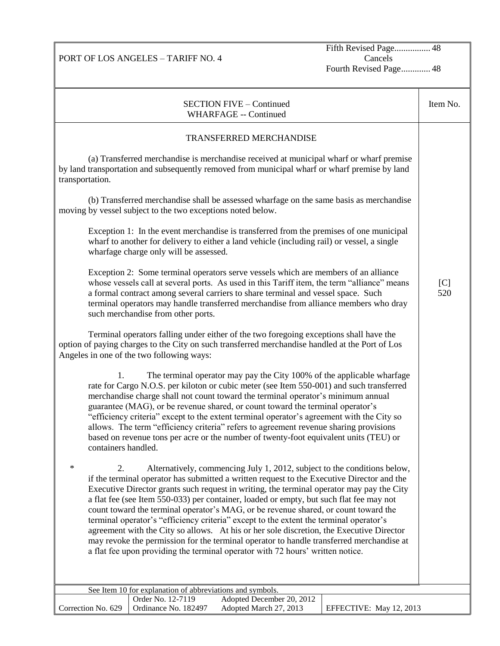PORT OF LOS ANGELES – TARIFF NO. 4

Fifth Revised Page................. 48 Cancels Fourth Revised Page............. 48

| <b>SECTION FIVE - Continued</b><br><b>WHARFAGE -- Continued</b>                                                                                                                                                                                                                                                                                                                                                                                                                                                                                                                                                                                                                                                                                                                                                                           | Item No.   |
|-------------------------------------------------------------------------------------------------------------------------------------------------------------------------------------------------------------------------------------------------------------------------------------------------------------------------------------------------------------------------------------------------------------------------------------------------------------------------------------------------------------------------------------------------------------------------------------------------------------------------------------------------------------------------------------------------------------------------------------------------------------------------------------------------------------------------------------------|------------|
| TRANSFERRED MERCHANDISE                                                                                                                                                                                                                                                                                                                                                                                                                                                                                                                                                                                                                                                                                                                                                                                                                   |            |
| (a) Transferred merchandise is merchandise received at municipal wharf or wharf premise<br>by land transportation and subsequently removed from municipal wharf or wharf premise by land<br>transportation.                                                                                                                                                                                                                                                                                                                                                                                                                                                                                                                                                                                                                               |            |
| (b) Transferred merchandise shall be assessed wharfage on the same basis as merchandise<br>moving by vessel subject to the two exceptions noted below.                                                                                                                                                                                                                                                                                                                                                                                                                                                                                                                                                                                                                                                                                    |            |
| Exception 1: In the event merchandise is transferred from the premises of one municipal<br>wharf to another for delivery to either a land vehicle (including rail) or vessel, a single<br>wharfage charge only will be assessed.                                                                                                                                                                                                                                                                                                                                                                                                                                                                                                                                                                                                          |            |
| Exception 2: Some terminal operators serve vessels which are members of an alliance<br>whose vessels call at several ports. As used in this Tariff item, the term "alliance" means<br>a formal contract among several carriers to share terminal and vessel space. Such<br>terminal operators may handle transferred merchandise from alliance members who dray<br>such merchandise from other ports.                                                                                                                                                                                                                                                                                                                                                                                                                                     | [C]<br>520 |
| Terminal operators falling under either of the two foregoing exceptions shall have the<br>option of paying charges to the City on such transferred merchandise handled at the Port of Los<br>Angeles in one of the two following ways:                                                                                                                                                                                                                                                                                                                                                                                                                                                                                                                                                                                                    |            |
| 1.<br>The terminal operator may pay the City 100% of the applicable wharfage<br>rate for Cargo N.O.S. per kiloton or cubic meter (see Item 550-001) and such transferred<br>merchandise charge shall not count toward the terminal operator's minimum annual<br>guarantee (MAG), or be revenue shared, or count toward the terminal operator's<br>"efficiency criteria" except to the extent terminal operator's agreement with the City so<br>allows. The term "efficiency criteria" refers to agreement revenue sharing provisions<br>based on revenue tons per acre or the number of twenty-foot equivalent units (TEU) or<br>containers handled.                                                                                                                                                                                      |            |
| $\ast$<br>2.<br>Alternatively, commencing July 1, 2012, subject to the conditions below,<br>if the terminal operator has submitted a written request to the Executive Director and the<br>Executive Director grants such request in writing, the terminal operator may pay the City<br>a flat fee (see Item 550-033) per container, loaded or empty, but such flat fee may not<br>count toward the terminal operator's MAG, or be revenue shared, or count toward the<br>terminal operator's "efficiency criteria" except to the extent the terminal operator's<br>agreement with the City so allows. At his or her sole discretion, the Executive Director<br>may revoke the permission for the terminal operator to handle transferred merchandise at<br>a flat fee upon providing the terminal operator with 72 hours' written notice. |            |
| See Item 10 for explanation of abbreviations and symbols.                                                                                                                                                                                                                                                                                                                                                                                                                                                                                                                                                                                                                                                                                                                                                                                 |            |
| Order No. 12-7119<br>Adopted December 20, 2012<br>Correction No. 629<br>Ordinance No. 182497<br>Adopted March 27, 2013<br>EFFECTIVE: May 12, 2013                                                                                                                                                                                                                                                                                                                                                                                                                                                                                                                                                                                                                                                                                         |            |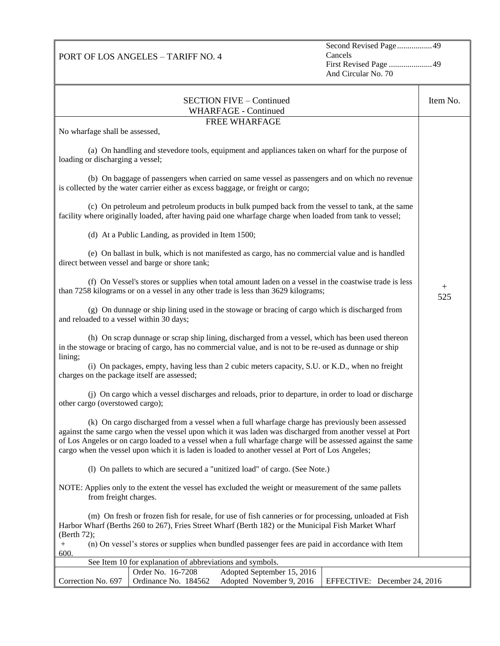Second Revised Page .................49 Cancels First Revised Page .....................49 And Circular No. 70

| <b>SECTION FIVE - Continued</b><br>WHARFAGE - Continued                                                                                                                                                                                                                                                                                                                                                                        | Item No.      |
|--------------------------------------------------------------------------------------------------------------------------------------------------------------------------------------------------------------------------------------------------------------------------------------------------------------------------------------------------------------------------------------------------------------------------------|---------------|
| FREE WHARFAGE                                                                                                                                                                                                                                                                                                                                                                                                                  |               |
| No wharfage shall be assessed,                                                                                                                                                                                                                                                                                                                                                                                                 |               |
| (a) On handling and stevedore tools, equipment and appliances taken on wharf for the purpose of<br>loading or discharging a vessel;                                                                                                                                                                                                                                                                                            |               |
| (b) On baggage of passengers when carried on same vessel as passengers and on which no revenue<br>is collected by the water carrier either as excess baggage, or freight or cargo;                                                                                                                                                                                                                                             |               |
| (c) On petroleum and petroleum products in bulk pumped back from the vessel to tank, at the same<br>facility where originally loaded, after having paid one wharfage charge when loaded from tank to vessel;                                                                                                                                                                                                                   |               |
| (d) At a Public Landing, as provided in Item 1500;                                                                                                                                                                                                                                                                                                                                                                             |               |
| (e) On ballast in bulk, which is not manifested as cargo, has no commercial value and is handled<br>direct between vessel and barge or shore tank;                                                                                                                                                                                                                                                                             |               |
| (f) On Vessel's stores or supplies when total amount laden on a vessel in the coastwise trade is less<br>than 7258 kilograms or on a vessel in any other trade is less than 3629 kilograms;                                                                                                                                                                                                                                    | $^{+}$<br>525 |
| (g) On dunnage or ship lining used in the stowage or bracing of cargo which is discharged from<br>and reloaded to a vessel within 30 days;                                                                                                                                                                                                                                                                                     |               |
| (h) On scrap dunnage or scrap ship lining, discharged from a vessel, which has been used thereon<br>in the stowage or bracing of cargo, has no commercial value, and is not to be re-used as dunnage or ship<br>lining;                                                                                                                                                                                                        |               |
| (i) On packages, empty, having less than 2 cubic meters capacity, S.U. or K.D., when no freight<br>charges on the package itself are assessed;                                                                                                                                                                                                                                                                                 |               |
| (j) On cargo which a vessel discharges and reloads, prior to departure, in order to load or discharge<br>other cargo (overstowed cargo);                                                                                                                                                                                                                                                                                       |               |
| (k) On cargo discharged from a vessel when a full wharfage charge has previously been assessed<br>against the same cargo when the vessel upon which it was laden was discharged from another vessel at Port<br>of Los Angeles or on cargo loaded to a vessel when a full wharfage charge will be assessed against the same<br>cargo when the vessel upon which it is laden is loaded to another vessel at Port of Los Angeles; |               |
| (1) On pallets to which are secured a "unitized load" of cargo. (See Note.)                                                                                                                                                                                                                                                                                                                                                    |               |
| NOTE: Applies only to the extent the vessel has excluded the weight or measurement of the same pallets<br>from freight charges.                                                                                                                                                                                                                                                                                                |               |
| (m) On fresh or frozen fish for resale, for use of fish canneries or for processing, unloaded at Fish<br>Harbor Wharf (Berths 260 to 267), Fries Street Wharf (Berth 182) or the Municipal Fish Market Wharf<br>(Berth 72);                                                                                                                                                                                                    |               |
| (n) On vessel's stores or supplies when bundled passenger fees are paid in accordance with Item<br>$^{+}$                                                                                                                                                                                                                                                                                                                      |               |
| 600.<br>See Item 10 for explanation of abbreviations and symbols.                                                                                                                                                                                                                                                                                                                                                              |               |
| Order No. 16-7208<br>Adopted September 15, 2016                                                                                                                                                                                                                                                                                                                                                                                |               |
| Correction No. 697<br>Ordinance No. 184562<br>Adopted November 9, 2016<br>EFFECTIVE: December 24, 2016                                                                                                                                                                                                                                                                                                                         |               |

PORT OF LOS ANGELES – TARIFF NO. 4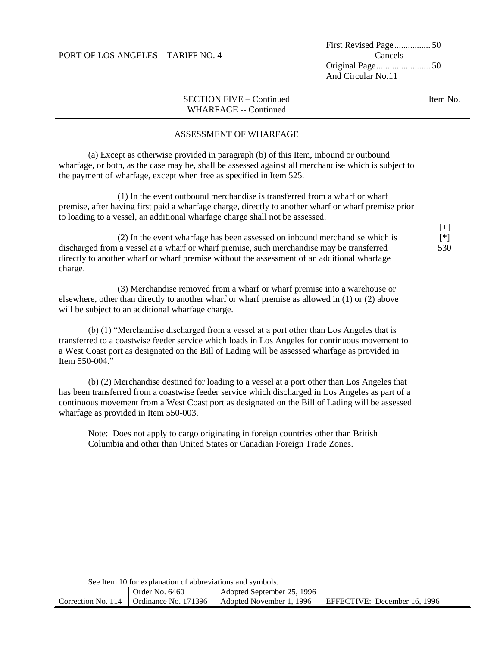| PORT OF LOS ANGELES - TARIFF NO. 4                                                                                                                                                                                                                                                                                                          | First Revised Page 50<br>Cancels |               |
|---------------------------------------------------------------------------------------------------------------------------------------------------------------------------------------------------------------------------------------------------------------------------------------------------------------------------------------------|----------------------------------|---------------|
|                                                                                                                                                                                                                                                                                                                                             | And Circular No.11               |               |
| <b>SECTION FIVE - Continued</b><br><b>WHARFAGE -- Continued</b>                                                                                                                                                                                                                                                                             |                                  | Item No.      |
| ASSESSMENT OF WHARFAGE                                                                                                                                                                                                                                                                                                                      |                                  |               |
| (a) Except as otherwise provided in paragraph (b) of this Item, inbound or outbound<br>wharfage, or both, as the case may be, shall be assessed against all merchandise which is subject to<br>the payment of wharfage, except when free as specified in Item 525.                                                                          |                                  |               |
| (1) In the event outbound merchandise is transferred from a wharf or wharf<br>premise, after having first paid a wharfage charge, directly to another wharf or wharf premise prior<br>to loading to a vessel, an additional wharfage charge shall not be assessed.                                                                          |                                  | $[+]$         |
| (2) In the event wharfage has been assessed on inbound merchandise which is<br>discharged from a vessel at a wharf or wharf premise, such merchandise may be transferred<br>directly to another wharf or wharf premise without the assessment of an additional wharfage<br>charge.                                                          |                                  | $[$ *]<br>530 |
| (3) Merchandise removed from a wharf or wharf premise into a warehouse or<br>elsewhere, other than directly to another wharf or wharf premise as allowed in (1) or (2) above<br>will be subject to an additional wharfage charge.                                                                                                           |                                  |               |
| (b) (1) "Merchandise discharged from a vessel at a port other than Los Angeles that is<br>transferred to a coastwise feeder service which loads in Los Angeles for continuous movement to<br>a West Coast port as designated on the Bill of Lading will be assessed wharfage as provided in<br>Item 550-004."                               |                                  |               |
| (b) (2) Merchandise destined for loading to a vessel at a port other than Los Angeles that<br>has been transferred from a coastwise feeder service which discharged in Los Angeles as part of a<br>continuous movement from a West Coast port as designated on the Bill of Lading will be assessed<br>wharfage as provided in Item 550-003. |                                  |               |
| Note: Does not apply to cargo originating in foreign countries other than British<br>Columbia and other than United States or Canadian Foreign Trade Zones.                                                                                                                                                                                 |                                  |               |
|                                                                                                                                                                                                                                                                                                                                             |                                  |               |
|                                                                                                                                                                                                                                                                                                                                             |                                  |               |
|                                                                                                                                                                                                                                                                                                                                             |                                  |               |
|                                                                                                                                                                                                                                                                                                                                             |                                  |               |
| See Item 10 for explanation of abbreviations and symbols.<br>Order No. 6460<br>Adopted September 25, 1996                                                                                                                                                                                                                                   |                                  |               |
| Correction No. 114<br>Ordinance No. 171396<br>Adopted November 1, 1996                                                                                                                                                                                                                                                                      | EFFECTIVE: December 16, 1996     |               |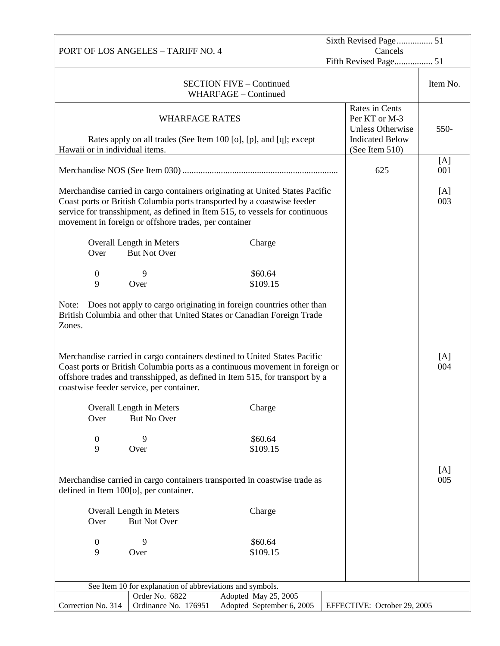|                                        |                                                           | Sixth Revised Page 51                                                                                                                                                                                                                     |                                                            |            |
|----------------------------------------|-----------------------------------------------------------|-------------------------------------------------------------------------------------------------------------------------------------------------------------------------------------------------------------------------------------------|------------------------------------------------------------|------------|
| PORT OF LOS ANGELES - TARIFF NO. 4     |                                                           | Cancels<br>Fifth Revised Page 51                                                                                                                                                                                                          |                                                            |            |
|                                        |                                                           | <b>SECTION FIVE - Continued</b><br>WHARFAGE - Continued                                                                                                                                                                                   |                                                            | Item No.   |
|                                        | <b>WHARFAGE RATES</b>                                     |                                                                                                                                                                                                                                           | Rates in Cents<br>Per KT or M-3<br><b>Unless Otherwise</b> | 550-       |
| Hawaii or in individual items.         |                                                           | Rates apply on all trades (See Item 100 [o], [p], and [q]; except                                                                                                                                                                         | <b>Indicated Below</b><br>(See Item 510)                   |            |
|                                        |                                                           |                                                                                                                                                                                                                                           | 625                                                        | [A]<br>001 |
|                                        | movement in foreign or offshore trades, per container     | Merchandise carried in cargo containers originating at United States Pacific<br>Coast ports or British Columbia ports transported by a coastwise feeder<br>service for transshipment, as defined in Item 515, to vessels for continuous   |                                                            | [A]<br>003 |
| Over                                   | Overall Length in Meters<br><b>But Not Over</b>           | Charge                                                                                                                                                                                                                                    |                                                            |            |
| $\boldsymbol{0}$                       | 9                                                         | \$60.64                                                                                                                                                                                                                                   |                                                            |            |
| 9                                      | Over                                                      | \$109.15                                                                                                                                                                                                                                  |                                                            |            |
| Note:<br>Zones.                        |                                                           | Does not apply to cargo originating in foreign countries other than<br>British Columbia and other that United States or Canadian Foreign Trade                                                                                            |                                                            |            |
|                                        | coastwise feeder service, per container.                  | Merchandise carried in cargo containers destined to United States Pacific<br>Coast ports or British Columbia ports as a continuous movement in foreign or<br>offshore trades and transshipped, as defined in Item 515, for transport by a |                                                            | [A]<br>004 |
| Over                                   | Overall Length in Meters<br><b>But No Over</b>            | Charge                                                                                                                                                                                                                                    |                                                            |            |
| $\boldsymbol{0}$<br>9                  | 9<br>Over                                                 | \$60.64<br>\$109.15                                                                                                                                                                                                                       |                                                            |            |
|                                        |                                                           |                                                                                                                                                                                                                                           |                                                            |            |
| defined in Item 100[o], per container. |                                                           | Merchandise carried in cargo containers transported in coastwise trade as                                                                                                                                                                 |                                                            | [A]<br>005 |
| Over                                   | Overall Length in Meters<br><b>But Not Over</b>           | Charge                                                                                                                                                                                                                                    |                                                            |            |
| $\boldsymbol{0}$                       | 9                                                         | \$60.64                                                                                                                                                                                                                                   |                                                            |            |
| 9                                      | Over                                                      | \$109.15                                                                                                                                                                                                                                  |                                                            |            |
|                                        |                                                           |                                                                                                                                                                                                                                           |                                                            |            |
|                                        | See Item 10 for explanation of abbreviations and symbols. |                                                                                                                                                                                                                                           |                                                            |            |
| Correction No. 314                     | Order No. 6822<br>Ordinance No. 176951                    | Adopted May 25, 2005<br>Adopted September 6, 2005                                                                                                                                                                                         | EFFECTIVE: October 29, 2005                                |            |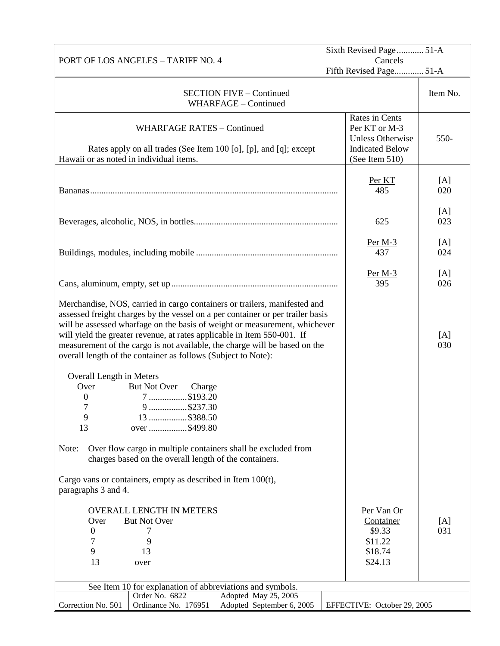|                                         |                                                                                                                                                                                                                                                                                                                                                                                                                                                                     | Sixth Revised Page 51-A<br>Cancels                                                                     |            |
|-----------------------------------------|---------------------------------------------------------------------------------------------------------------------------------------------------------------------------------------------------------------------------------------------------------------------------------------------------------------------------------------------------------------------------------------------------------------------------------------------------------------------|--------------------------------------------------------------------------------------------------------|------------|
|                                         | PORT OF LOS ANGELES - TARIFF NO. 4                                                                                                                                                                                                                                                                                                                                                                                                                                  |                                                                                                        |            |
|                                         |                                                                                                                                                                                                                                                                                                                                                                                                                                                                     | Fifth Revised Page 51-A                                                                                |            |
|                                         | <b>SECTION FIVE - Continued</b><br>WHARFAGE - Continued                                                                                                                                                                                                                                                                                                                                                                                                             |                                                                                                        | Item No.   |
| Hawaii or as noted in individual items. | <b>WHARFAGE RATES - Continued</b><br>Rates apply on all trades (See Item 100 [o], [p], and [q]; except                                                                                                                                                                                                                                                                                                                                                              | Rates in Cents<br>Per KT or M-3<br><b>Unless Otherwise</b><br><b>Indicated Below</b><br>(See Item 510) | 550-       |
|                                         |                                                                                                                                                                                                                                                                                                                                                                                                                                                                     | Per KT<br>485                                                                                          | [A]<br>020 |
|                                         |                                                                                                                                                                                                                                                                                                                                                                                                                                                                     | 625                                                                                                    | [A]<br>023 |
|                                         |                                                                                                                                                                                                                                                                                                                                                                                                                                                                     | $Per M-3$<br>437                                                                                       | [A]<br>024 |
|                                         |                                                                                                                                                                                                                                                                                                                                                                                                                                                                     | Per $M-3$<br>395                                                                                       | [A]<br>026 |
|                                         | Merchandise, NOS, carried in cargo containers or trailers, manifested and<br>assessed freight charges by the vessel on a per container or per trailer basis<br>will be assessed wharfage on the basis of weight or measurement, whichever<br>will yield the greater revenue, at rates applicable in Item 550-001. If<br>measurement of the cargo is not available, the charge will be based on the<br>overall length of the container as follows (Subject to Note): |                                                                                                        | [A]<br>030 |
|                                         |                                                                                                                                                                                                                                                                                                                                                                                                                                                                     |                                                                                                        |            |
| Overall Length in Meters<br>Over        | But Not Over<br>Charge                                                                                                                                                                                                                                                                                                                                                                                                                                              |                                                                                                        |            |
| 0                                       | 7 \$193.20                                                                                                                                                                                                                                                                                                                                                                                                                                                          |                                                                                                        |            |
| $\overline{7}$                          | 9 \$237.30                                                                                                                                                                                                                                                                                                                                                                                                                                                          |                                                                                                        |            |
| 9                                       | 13 \$388.50                                                                                                                                                                                                                                                                                                                                                                                                                                                         |                                                                                                        |            |
| 13                                      | over \$499.80                                                                                                                                                                                                                                                                                                                                                                                                                                                       |                                                                                                        |            |
| Note:                                   | Over flow cargo in multiple containers shall be excluded from<br>charges based on the overall length of the containers.                                                                                                                                                                                                                                                                                                                                             |                                                                                                        |            |
| paragraphs 3 and 4.                     | Cargo vans or containers, empty as described in Item $100(t)$ ,                                                                                                                                                                                                                                                                                                                                                                                                     |                                                                                                        |            |
|                                         | <b>OVERALL LENGTH IN METERS</b>                                                                                                                                                                                                                                                                                                                                                                                                                                     | Per Van Or                                                                                             |            |
| Over                                    | <b>But Not Over</b>                                                                                                                                                                                                                                                                                                                                                                                                                                                 | Container                                                                                              | [A]        |
| $\boldsymbol{0}$                        | 7                                                                                                                                                                                                                                                                                                                                                                                                                                                                   | \$9.33                                                                                                 | 031        |
| 7                                       | 9                                                                                                                                                                                                                                                                                                                                                                                                                                                                   | \$11.22                                                                                                |            |
| 9                                       | 13                                                                                                                                                                                                                                                                                                                                                                                                                                                                  | \$18.74                                                                                                |            |
| 13                                      | over                                                                                                                                                                                                                                                                                                                                                                                                                                                                | \$24.13                                                                                                |            |
|                                         |                                                                                                                                                                                                                                                                                                                                                                                                                                                                     |                                                                                                        |            |
|                                         | See Item 10 for explanation of abbreviations and symbols.<br>Order No. 6822<br>Adopted May 25, 2005                                                                                                                                                                                                                                                                                                                                                                 |                                                                                                        |            |
| Correction No. 501                      | Ordinance No. 176951<br>Adopted September 6, 2005                                                                                                                                                                                                                                                                                                                                                                                                                   | EFFECTIVE: October 29, 2005                                                                            |            |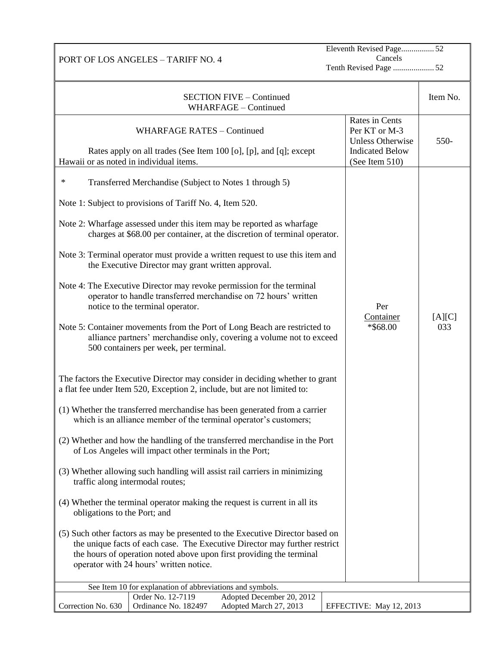PORT OF LOS ANGELES – TARIFF NO. 4

Eleventh Revised Page................ 52 Cancels Tenth Revised Page .................... 52

| <b>SECTION FIVE - Continued</b><br>WHARFAGE - Continued                                                                                                                                                                                                                                                                                                                                                                                                                                                                                                                                                                                                                                                                                                                                                                                                                                                                                                                |                                                                                                        | Item No.      |
|------------------------------------------------------------------------------------------------------------------------------------------------------------------------------------------------------------------------------------------------------------------------------------------------------------------------------------------------------------------------------------------------------------------------------------------------------------------------------------------------------------------------------------------------------------------------------------------------------------------------------------------------------------------------------------------------------------------------------------------------------------------------------------------------------------------------------------------------------------------------------------------------------------------------------------------------------------------------|--------------------------------------------------------------------------------------------------------|---------------|
| <b>WHARFAGE RATES - Continued</b><br>Rates apply on all trades (See Item 100 [o], [p], and [q]; except<br>Hawaii or as noted in individual items.                                                                                                                                                                                                                                                                                                                                                                                                                                                                                                                                                                                                                                                                                                                                                                                                                      | Rates in Cents<br>Per KT or M-3<br><b>Unless Otherwise</b><br><b>Indicated Below</b><br>(See Item 510) | 550-          |
| $\ast$<br>Transferred Merchandise (Subject to Notes 1 through 5)<br>Note 1: Subject to provisions of Tariff No. 4, Item 520.<br>Note 2: Wharfage assessed under this item may be reported as wharfage<br>charges at \$68.00 per container, at the discretion of terminal operator.<br>Note 3: Terminal operator must provide a written request to use this item and<br>the Executive Director may grant written approval.                                                                                                                                                                                                                                                                                                                                                                                                                                                                                                                                              |                                                                                                        |               |
| Note 4: The Executive Director may revoke permission for the terminal<br>operator to handle transferred merchandise on 72 hours' written<br>notice to the terminal operator.<br>Note 5: Container movements from the Port of Long Beach are restricted to<br>alliance partners' merchandise only, covering a volume not to exceed<br>500 containers per week, per terminal.                                                                                                                                                                                                                                                                                                                                                                                                                                                                                                                                                                                            | Per<br>Container<br>*\$68.00                                                                           | [A][C]<br>033 |
| The factors the Executive Director may consider in deciding whether to grant<br>a flat fee under Item 520, Exception 2, include, but are not limited to:<br>(1) Whether the transferred merchandise has been generated from a carrier<br>which is an alliance member of the terminal operator's customers;<br>(2) Whether and how the handling of the transferred merchandise in the Port<br>of Los Angeles will impact other terminals in the Port;<br>(3) Whether allowing such handling will assist rail carriers in minimizing<br>traffic along intermodal routes;<br>(4) Whether the terminal operator making the request is current in all its<br>obligations to the Port; and<br>(5) Such other factors as may be presented to the Executive Director based on<br>the unique facts of each case. The Executive Director may further restrict<br>the hours of operation noted above upon first providing the terminal<br>operator with 24 hours' written notice. |                                                                                                        |               |
| See Item 10 for explanation of abbreviations and symbols.<br>Order No. 12-7119<br>Adopted December 20, 2012<br>Ordinance No. 182497<br>Adopted March 27, 2013<br>Correction No. 630                                                                                                                                                                                                                                                                                                                                                                                                                                                                                                                                                                                                                                                                                                                                                                                    | EFFECTIVE: May 12, 2013                                                                                |               |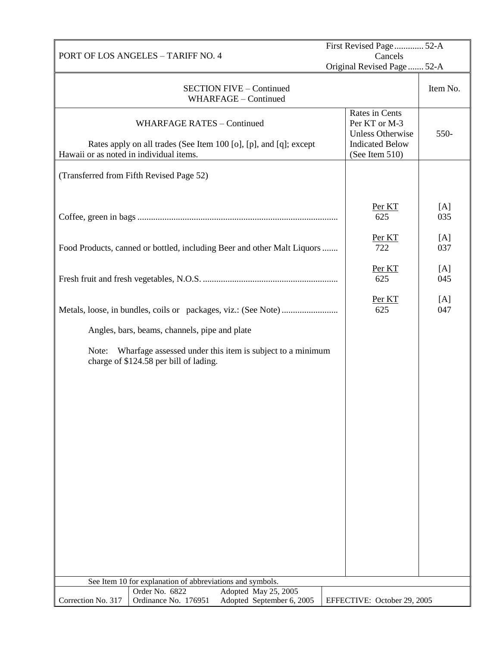|                                         |                                                                                                        | First Revised Page 52-A<br>Cancels                                                   |            |
|-----------------------------------------|--------------------------------------------------------------------------------------------------------|--------------------------------------------------------------------------------------|------------|
|                                         | PORT OF LOS ANGELES - TARIFF NO. 4<br>Original Revised Page  52-A                                      |                                                                                      |            |
|                                         |                                                                                                        |                                                                                      |            |
|                                         | <b>SECTION FIVE - Continued</b><br>WHARFAGE - Continued                                                |                                                                                      | Item No.   |
|                                         | <b>WHARFAGE RATES - Continued</b><br>Rates apply on all trades (See Item 100 [o], [p], and [q]; except | Rates in Cents<br>Per KT or M-3<br><b>Unless Otherwise</b><br><b>Indicated Below</b> | 550-       |
| Hawaii or as noted in individual items. |                                                                                                        | (See Item 510)                                                                       |            |
|                                         | (Transferred from Fifth Revised Page 52)                                                               |                                                                                      |            |
|                                         |                                                                                                        | Per KT<br>625                                                                        | [A]<br>035 |
|                                         | Food Products, canned or bottled, including Beer and other Malt Liquors                                | Per KT<br>722                                                                        | [A]<br>037 |
|                                         |                                                                                                        | Per KT<br>625                                                                        | [A]<br>045 |
|                                         |                                                                                                        | Per KT<br>625                                                                        | [A]<br>047 |
|                                         | Angles, bars, beams, channels, pipe and plate                                                          |                                                                                      |            |
| Note:                                   | Wharfage assessed under this item is subject to a minimum<br>charge of \$124.58 per bill of lading.    |                                                                                      |            |
|                                         |                                                                                                        |                                                                                      |            |
|                                         |                                                                                                        |                                                                                      |            |
|                                         |                                                                                                        |                                                                                      |            |
|                                         |                                                                                                        |                                                                                      |            |
|                                         |                                                                                                        |                                                                                      |            |
|                                         |                                                                                                        |                                                                                      |            |
|                                         |                                                                                                        |                                                                                      |            |
|                                         |                                                                                                        |                                                                                      |            |
|                                         |                                                                                                        |                                                                                      |            |
|                                         | See Item 10 for explanation of abbreviations and symbols.                                              |                                                                                      |            |
|                                         | Order No. 6822<br>Adopted May 25, 2005                                                                 |                                                                                      |            |
| Correction No. 317                      | Ordinance No. 176951<br>Adopted September 6, 2005                                                      | EFFECTIVE: October 29, 2005                                                          |            |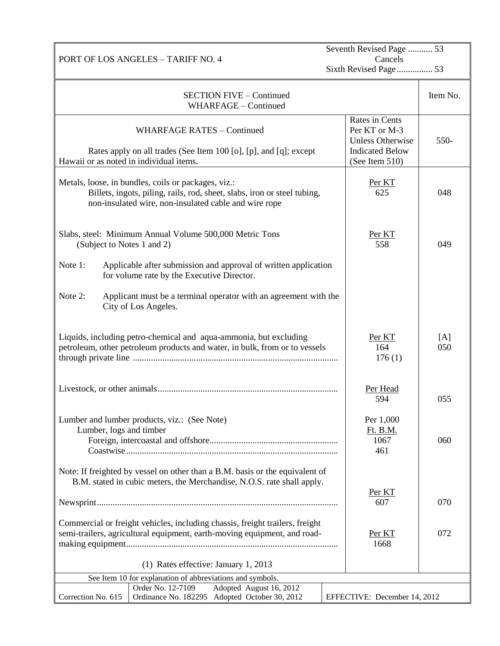| PORT OF LOS ANGELES - TARIFF NO. 4                                                                                                                                                       |                                                                                                        | Seventh Revised Page  53<br>Cancels |  |  |
|------------------------------------------------------------------------------------------------------------------------------------------------------------------------------------------|--------------------------------------------------------------------------------------------------------|-------------------------------------|--|--|
|                                                                                                                                                                                          | Sixth Revised Page 53                                                                                  |                                     |  |  |
| <b>SECTION FIVE - Continued</b><br>WHARFAGE - Continued                                                                                                                                  |                                                                                                        | Item No.                            |  |  |
| <b>WHARFAGE RATES - Continued</b><br>Rates apply on all trades (See Item 100 [o], [p], and [q]; except<br>Hawaii or as noted in individual items.                                        | Rates in Cents<br>Per KT or M-3<br><b>Unless Otherwise</b><br><b>Indicated Below</b><br>(See Item 510) | 550-                                |  |  |
| Metals, loose, in bundles, coils or packages, viz.:<br>Billets, ingots, piling, rails, rod, sheet, slabs, iron or steel tubing,<br>non-insulated wire, non-insulated cable and wire rope | Per KT<br>625                                                                                          | 048                                 |  |  |
| Slabs, steel: Minimum Annual Volume 500,000 Metric Tons<br>(Subject to Notes 1 and 2)                                                                                                    | Per KT<br>558                                                                                          | 049                                 |  |  |
| Note 1:<br>Applicable after submission and approval of written application<br>for volume rate by the Executive Director.                                                                 |                                                                                                        |                                     |  |  |
| Note 2:<br>Applicant must be a terminal operator with an agreement with the<br>City of Los Angeles.                                                                                      |                                                                                                        |                                     |  |  |
| Liquids, including petro-chemical and aqua-ammonia, but excluding<br>petroleum, other petroleum products and water, in bulk, from or to vessels                                          | Per KT<br>164<br>176(1)                                                                                | [A]<br>050                          |  |  |
|                                                                                                                                                                                          | Per Head<br>594                                                                                        | 055                                 |  |  |
| Lumber and lumber products, viz.: (See Note)<br>Lumber, logs and timber                                                                                                                  | Per 1,000<br>Ft. B.M.<br>1067<br>461                                                                   | 060                                 |  |  |
| Note: If freighted by vessel on other than a B.M. basis or the equivalent of<br>B.M. stated in cubic meters, the Merchandise, N.O.S. rate shall apply.                                   | Per KT                                                                                                 |                                     |  |  |
|                                                                                                                                                                                          | 607                                                                                                    | 070                                 |  |  |
| Commercial or freight vehicles, including chassis, freight trailers, freight<br>semi-trailers, agricultural equipment, earth-moving equipment, and road-                                 | Per KT<br>1668                                                                                         | 072                                 |  |  |
| (1) Rates effective: January 1, 2013                                                                                                                                                     |                                                                                                        |                                     |  |  |
| See Item 10 for explanation of abbreviations and symbols.<br>Adopted August 16, 2012<br>Order No. 12-7109                                                                                |                                                                                                        |                                     |  |  |
| Correction No. 615<br>Ordinance No. 182295 Adopted October 30, 2012                                                                                                                      | EFFECTIVE: December 14, 2012                                                                           |                                     |  |  |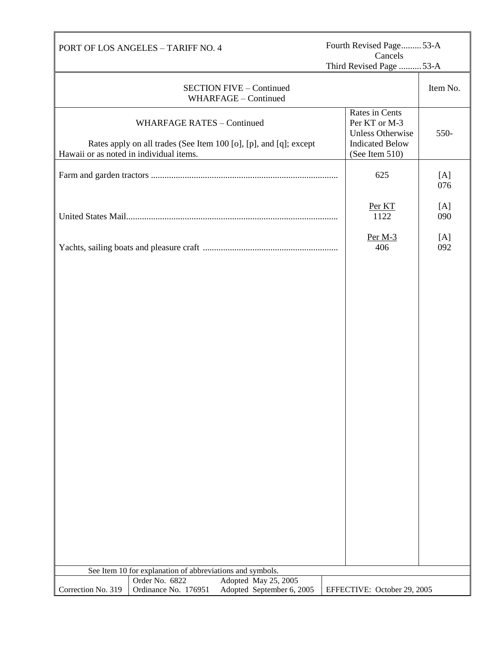|                                         | Fourth Revised Page53-A<br>PORT OF LOS ANGELES - TARIFF NO. 4<br>Cancels<br>Third Revised Page  53-A |                                                                   |                                                                                                        |            |
|-----------------------------------------|------------------------------------------------------------------------------------------------------|-------------------------------------------------------------------|--------------------------------------------------------------------------------------------------------|------------|
|                                         |                                                                                                      |                                                                   |                                                                                                        |            |
|                                         |                                                                                                      | <b>SECTION FIVE - Continued</b><br>WHARFAGE - Continued           |                                                                                                        | Item No.   |
| Hawaii or as noted in individual items. | <b>WHARFAGE RATES - Continued</b>                                                                    | Rates apply on all trades (See Item 100 [o], [p], and [q]; except | Rates in Cents<br>Per KT or M-3<br><b>Unless Otherwise</b><br><b>Indicated Below</b><br>(See Item 510) | 550-       |
|                                         |                                                                                                      |                                                                   | 625                                                                                                    | [A]<br>076 |
|                                         |                                                                                                      |                                                                   | Per KT<br>1122                                                                                         | [A]<br>090 |
|                                         |                                                                                                      |                                                                   | Per $M-3$<br>406                                                                                       | [A]<br>092 |
|                                         |                                                                                                      |                                                                   |                                                                                                        |            |
|                                         | See Item 10 for explanation of abbreviations and symbols.                                            |                                                                   |                                                                                                        |            |
|                                         | Order No. 6822                                                                                       | Adopted May 25, 2005                                              |                                                                                                        |            |
| Correction No. 319                      | Ordinance No. 176951                                                                                 | Adopted September 6, 2005                                         | EFFECTIVE: October 29, 2005                                                                            |            |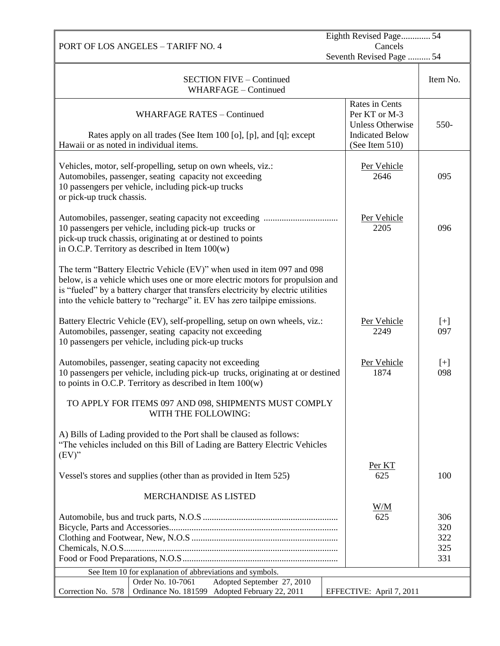|                                                                                                                                                                                                                                                                                                                            |                                                                                                        | Eighth Revised Page 54          |  |
|----------------------------------------------------------------------------------------------------------------------------------------------------------------------------------------------------------------------------------------------------------------------------------------------------------------------------|--------------------------------------------------------------------------------------------------------|---------------------------------|--|
| PORT OF LOS ANGELES - TARIFF NO. 4                                                                                                                                                                                                                                                                                         | Cancels<br>Seventh Revised Page  54                                                                    |                                 |  |
|                                                                                                                                                                                                                                                                                                                            |                                                                                                        |                                 |  |
| <b>SECTION FIVE - Continued</b><br>WHARFAGE - Continued                                                                                                                                                                                                                                                                    |                                                                                                        | Item No.                        |  |
| <b>WHARFAGE RATES - Continued</b><br>Rates apply on all trades (See Item 100 [o], [p], and [q]; except<br>Hawaii or as noted in individual items.                                                                                                                                                                          | Rates in Cents<br>Per KT or M-3<br><b>Unless Otherwise</b><br><b>Indicated Below</b><br>(See Item 510) | 550-                            |  |
|                                                                                                                                                                                                                                                                                                                            |                                                                                                        |                                 |  |
| Vehicles, motor, self-propelling, setup on own wheels, viz.:<br>Automobiles, passenger, seating capacity not exceeding<br>10 passengers per vehicle, including pick-up trucks<br>or pick-up truck chassis.                                                                                                                 | Per Vehicle<br>2646                                                                                    | 095                             |  |
| 10 passengers per vehicle, including pick-up trucks or<br>pick-up truck chassis, originating at or destined to points<br>in O.C.P. Territory as described in Item $100(w)$                                                                                                                                                 | Per Vehicle<br>2205                                                                                    | 096                             |  |
| The term "Battery Electric Vehicle (EV)" when used in item 097 and 098<br>below, is a vehicle which uses one or more electric motors for propulsion and<br>is "fueled" by a battery charger that transfers electricity by electric utilities<br>into the vehicle battery to "recharge" it. EV has zero tailpipe emissions. |                                                                                                        |                                 |  |
| Battery Electric Vehicle (EV), self-propelling, setup on own wheels, viz.:<br>Automobiles, passenger, seating capacity not exceeding<br>10 passengers per vehicle, including pick-up trucks                                                                                                                                | Per Vehicle<br>2249                                                                                    | $[+]$<br>097                    |  |
| Automobiles, passenger, seating capacity not exceeding<br>10 passengers per vehicle, including pick-up trucks, originating at or destined<br>to points in O.C.P. Territory as described in Item $100(w)$                                                                                                                   | Per Vehicle<br>1874                                                                                    | $[+]$<br>098                    |  |
| TO APPLY FOR ITEMS 097 AND 098, SHIPMENTS MUST COMPLY<br>WITH THE FOLLOWING:                                                                                                                                                                                                                                               |                                                                                                        |                                 |  |
| A) Bills of Lading provided to the Port shall be claused as follows:<br>"The vehicles included on this Bill of Lading are Battery Electric Vehicles<br>$(EV)$ "                                                                                                                                                            |                                                                                                        |                                 |  |
| Vessel's stores and supplies (other than as provided in Item 525)                                                                                                                                                                                                                                                          | Per KT<br>625                                                                                          | 100                             |  |
| <b>MERCHANDISE AS LISTED</b>                                                                                                                                                                                                                                                                                               |                                                                                                        |                                 |  |
|                                                                                                                                                                                                                                                                                                                            | W/M<br>625                                                                                             | 306<br>320<br>322<br>325<br>331 |  |
| See Item 10 for explanation of abbreviations and symbols.<br>Order No. 10-7061                                                                                                                                                                                                                                             |                                                                                                        |                                 |  |
| Adopted September 27, 2010<br>Ordinance No. 181599 Adopted February 22, 2011<br>Correction No. 578                                                                                                                                                                                                                         | EFFECTIVE: April 7, 2011                                                                               |                                 |  |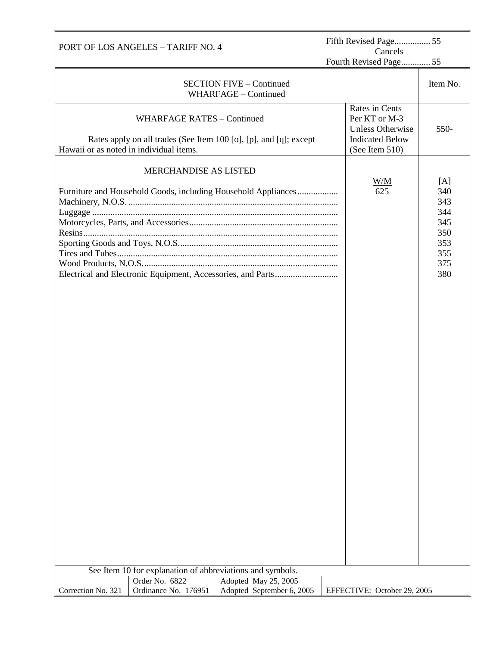| PORT OF LOS ANGELES - TARIFF NO. 4      |                                                           | Fifth Revised Page 55<br>Cancels                                  |  |                                                                                      |                                                                    |
|-----------------------------------------|-----------------------------------------------------------|-------------------------------------------------------------------|--|--------------------------------------------------------------------------------------|--------------------------------------------------------------------|
|                                         |                                                           |                                                                   |  | Fourth Revised Page 55                                                               |                                                                    |
|                                         |                                                           | <b>SECTION FIVE - Continued</b><br>WHARFAGE - Continued           |  |                                                                                      | Item No.                                                           |
|                                         | <b>WHARFAGE RATES - Continued</b>                         | Rates apply on all trades (See Item 100 [o], [p], and [q]; except |  | Rates in Cents<br>Per KT or M-3<br><b>Unless Otherwise</b><br><b>Indicated Below</b> | 550-                                                               |
| Hawaii or as noted in individual items. | MERCHANDISE AS LISTED                                     | Furniture and Household Goods, including Household Appliances     |  | (See Item 510)<br>W/M<br>625                                                         | [A]<br>340<br>343<br>344<br>345<br>350<br>353<br>355<br>375<br>380 |
|                                         |                                                           |                                                                   |  |                                                                                      |                                                                    |
|                                         | See Item 10 for explanation of abbreviations and symbols. |                                                                   |  |                                                                                      |                                                                    |
| Correction No. 321                      | Order No. 6822<br>Ordinance No. 176951                    | Adopted May 25, 2005<br>Adopted September 6, 2005                 |  | EFFECTIVE: October 29, 2005                                                          |                                                                    |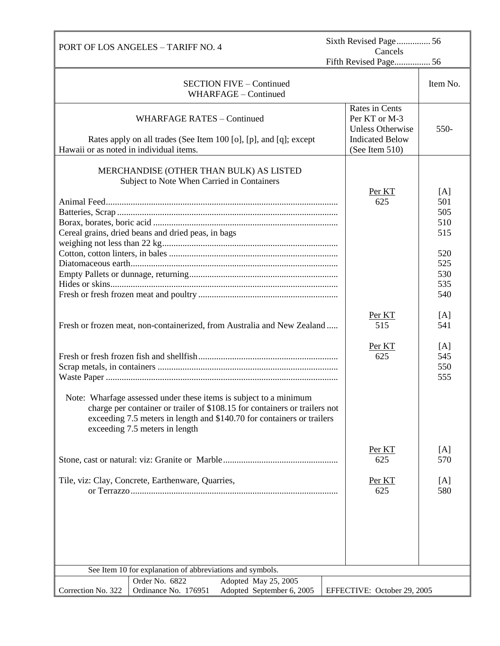|                                         | <b>PORT OF LOS ANGELES - TARIFF NO. 4</b>                                                                                                                                                                                                                   |  | Sixth Revised Page56                                       |                   |  |
|-----------------------------------------|-------------------------------------------------------------------------------------------------------------------------------------------------------------------------------------------------------------------------------------------------------------|--|------------------------------------------------------------|-------------------|--|
|                                         |                                                                                                                                                                                                                                                             |  | Cancels<br>Fifth Revised Page 56                           |                   |  |
|                                         | <b>SECTION FIVE - Continued</b><br>WHARFAGE - Continued                                                                                                                                                                                                     |  |                                                            | Item No.          |  |
|                                         | <b>WHARFAGE RATES - Continued</b>                                                                                                                                                                                                                           |  | Rates in Cents<br>Per KT or M-3<br><b>Unless Otherwise</b> | 550-              |  |
| Hawaii or as noted in individual items. | Rates apply on all trades (See Item 100 [o], [p], and [q]; except                                                                                                                                                                                           |  | <b>Indicated Below</b><br>(See Item 510)                   |                   |  |
|                                         | MERCHANDISE (OTHER THAN BULK) AS LISTED<br>Subject to Note When Carried in Containers                                                                                                                                                                       |  | Per KT                                                     | [A]               |  |
|                                         |                                                                                                                                                                                                                                                             |  | 625                                                        | 501               |  |
|                                         |                                                                                                                                                                                                                                                             |  |                                                            | 505               |  |
|                                         |                                                                                                                                                                                                                                                             |  |                                                            | 510               |  |
|                                         | Cereal grains, dried beans and dried peas, in bags                                                                                                                                                                                                          |  |                                                            | 515               |  |
|                                         |                                                                                                                                                                                                                                                             |  |                                                            |                   |  |
|                                         |                                                                                                                                                                                                                                                             |  |                                                            | 520               |  |
|                                         |                                                                                                                                                                                                                                                             |  |                                                            | 525               |  |
|                                         |                                                                                                                                                                                                                                                             |  |                                                            | 530               |  |
|                                         |                                                                                                                                                                                                                                                             |  |                                                            | 535<br>540        |  |
|                                         |                                                                                                                                                                                                                                                             |  |                                                            |                   |  |
|                                         | Fresh or frozen meat, non-containerized, from Australia and New Zealand                                                                                                                                                                                     |  | Per KT<br>515                                              | [A]<br>541        |  |
|                                         |                                                                                                                                                                                                                                                             |  | Per KT<br>625                                              | [A]<br>545<br>550 |  |
|                                         |                                                                                                                                                                                                                                                             |  |                                                            | 555               |  |
|                                         | Note: Wharfage assessed under these items is subject to a minimum<br>charge per container or trailer of \$108.15 for containers or trailers not<br>exceeding 7.5 meters in length and \$140.70 for containers or trailers<br>exceeding 7.5 meters in length |  |                                                            |                   |  |
|                                         |                                                                                                                                                                                                                                                             |  | Per KT<br>625                                              | [A]<br>570        |  |
|                                         | Tile, viz: Clay, Concrete, Earthenware, Quarries,                                                                                                                                                                                                           |  | Per KT<br>625                                              | [A]<br>580        |  |
|                                         |                                                                                                                                                                                                                                                             |  |                                                            |                   |  |
|                                         | See Item 10 for explanation of abbreviations and symbols.                                                                                                                                                                                                   |  |                                                            |                   |  |
|                                         | Order No. 6822<br>Adopted May 25, 2005                                                                                                                                                                                                                      |  |                                                            |                   |  |
| Correction No. 322                      | Ordinance No. 176951<br>Adopted September 6, 2005                                                                                                                                                                                                           |  | EFFECTIVE: October 29, 2005                                |                   |  |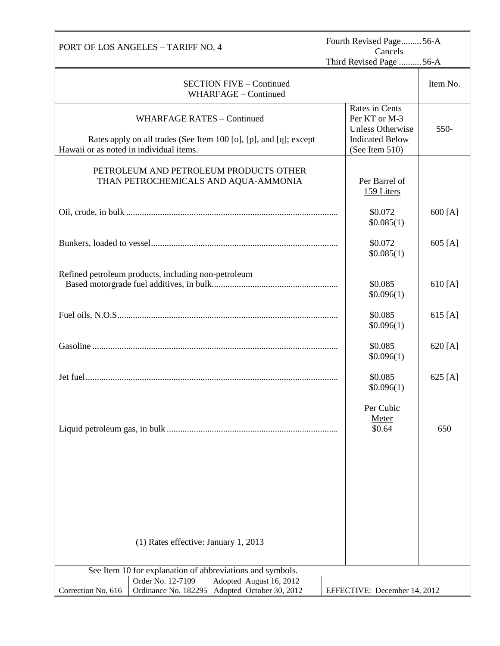| PORT OF LOS ANGELES - TARIFF NO. 4                                                                                  | Fourth Revised Page56-A<br>Cancels                         |          |  |
|---------------------------------------------------------------------------------------------------------------------|------------------------------------------------------------|----------|--|
|                                                                                                                     | Third Revised Page  56-A                                   |          |  |
| <b>SECTION FIVE – Continued</b><br>WHARFAGE - Continued                                                             |                                                            | Item No. |  |
| <b>WHARFAGE RATES - Continued</b>                                                                                   | Rates in Cents<br>Per KT or M-3<br><b>Unless Otherwise</b> | 550-     |  |
| Rates apply on all trades (See Item 100 [o], [p], and [q]; except<br>Hawaii or as noted in individual items.        | <b>Indicated Below</b><br>(See Item 510)                   |          |  |
| PETROLEUM AND PETROLEUM PRODUCTS OTHER<br>THAN PETROCHEMICALS AND AQUA-AMMONIA                                      | Per Barrel of<br>159 Liters                                |          |  |
|                                                                                                                     | \$0.072<br>\$0.085(1)                                      | 600 [A]  |  |
|                                                                                                                     | \$0.072<br>\$0.085(1)                                      | 605 [A]  |  |
| Refined petroleum products, including non-petroleum                                                                 | \$0.085<br>\$0.096(1)                                      | 610 [A]  |  |
|                                                                                                                     | \$0.085<br>\$0.096(1)                                      | 615 [A]  |  |
|                                                                                                                     | \$0.085<br>\$0.096(1)                                      | 620 [A]  |  |
|                                                                                                                     | \$0.085<br>\$0.096(1)                                      | 625 [A]  |  |
|                                                                                                                     | Per Cubic<br>Meter<br>\$0.64                               | 650      |  |
|                                                                                                                     |                                                            |          |  |
|                                                                                                                     |                                                            |          |  |
|                                                                                                                     |                                                            |          |  |
| (1) Rates effective: January 1, 2013                                                                                |                                                            |          |  |
| See Item 10 for explanation of abbreviations and symbols.                                                           |                                                            |          |  |
| Order No. 12-7109<br>Adopted August 16, 2012<br>Ordinance No. 182295 Adopted October 30, 2012<br>Correction No. 616 | EFFECTIVE: December 14, 2012                               |          |  |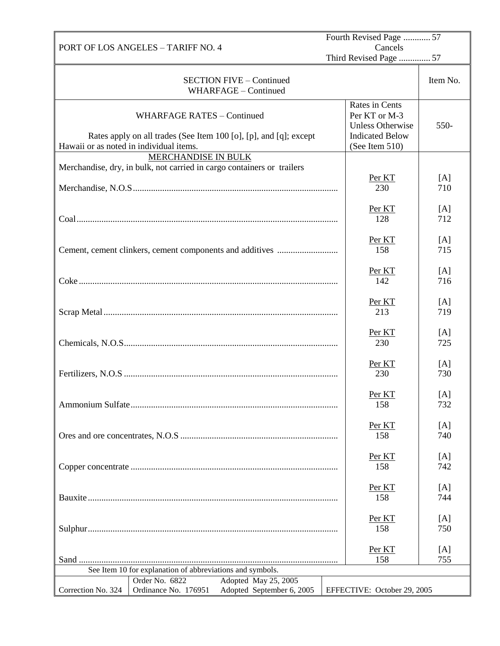|                                         |                                                                             |                                                                        | Fourth Revised Page  57                                                                                |            |  |
|-----------------------------------------|-----------------------------------------------------------------------------|------------------------------------------------------------------------|--------------------------------------------------------------------------------------------------------|------------|--|
|                                         | PORT OF LOS ANGELES - TARIFF NO. 4                                          |                                                                        | Cancels<br>Third Revised Page  57                                                                      |            |  |
|                                         |                                                                             | <b>SECTION FIVE - Continued</b><br>WHARFAGE - Continued                |                                                                                                        | Item No.   |  |
| Hawaii or as noted in individual items. | <b>WHARFAGE RATES - Continued</b>                                           | Rates apply on all trades (See Item 100 [o], [p], and [q]; except      | Rates in Cents<br>Per KT or M-3<br><b>Unless Otherwise</b><br><b>Indicated Below</b><br>(See Item 510) | 550-       |  |
|                                         | MERCHANDISE IN BULK                                                         |                                                                        |                                                                                                        |            |  |
|                                         |                                                                             | Merchandise, dry, in bulk, not carried in cargo containers or trailers | Per KT<br>230                                                                                          | [A]<br>710 |  |
|                                         |                                                                             |                                                                        | Per KT<br>128                                                                                          | [A]<br>712 |  |
|                                         |                                                                             |                                                                        | Per KT<br>158                                                                                          | [A]<br>715 |  |
|                                         |                                                                             |                                                                        | Per KT<br>142                                                                                          | [A]<br>716 |  |
|                                         |                                                                             |                                                                        | Per KT<br>213                                                                                          | [A]<br>719 |  |
|                                         |                                                                             |                                                                        | Per KT<br>230                                                                                          | [A]<br>725 |  |
|                                         |                                                                             |                                                                        | Per KT<br>230                                                                                          | [A]<br>730 |  |
|                                         |                                                                             |                                                                        | Per <sub>KT</sub><br>158                                                                               | [A]<br>732 |  |
|                                         |                                                                             |                                                                        | Per KT<br>158                                                                                          | [A]<br>740 |  |
|                                         |                                                                             |                                                                        | Per KT<br>158                                                                                          | [A]<br>742 |  |
|                                         |                                                                             |                                                                        | Per KT<br>158                                                                                          | [A]<br>744 |  |
|                                         |                                                                             |                                                                        | Per KT<br>158                                                                                          | [A]<br>750 |  |
|                                         |                                                                             |                                                                        | Per KT<br>158                                                                                          | [A]<br>755 |  |
|                                         | See Item 10 for explanation of abbreviations and symbols.<br>Order No. 6822 | Adopted May 25, 2005                                                   |                                                                                                        |            |  |
| Correction No. 324                      | Ordinance No. 176951                                                        | Adopted September 6, 2005                                              | EFFECTIVE: October 29, 2005                                                                            |            |  |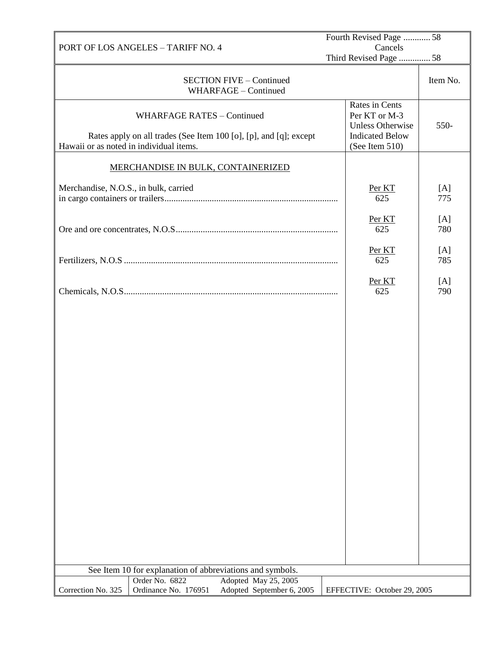|                                         |                                   | Fourth Revised Page 58                                                            |                                                                                                        |            |
|-----------------------------------------|-----------------------------------|-----------------------------------------------------------------------------------|--------------------------------------------------------------------------------------------------------|------------|
| PORT OF LOS ANGELES - TARIFF NO. 4      |                                   |                                                                                   | Cancels<br>Third Revised Page  58                                                                      |            |
|                                         |                                   |                                                                                   |                                                                                                        |            |
|                                         |                                   | <b>SECTION FIVE - Continued</b><br>WHARFAGE - Continued                           |                                                                                                        | Item No.   |
| Hawaii or as noted in individual items. | <b>WHARFAGE RATES - Continued</b> | Rates apply on all trades (See Item 100 [o], [p], and [q]; except                 | Rates in Cents<br>Per KT or M-3<br><b>Unless Otherwise</b><br><b>Indicated Below</b><br>(See Item 510) | 550-       |
|                                         |                                   |                                                                                   |                                                                                                        |            |
|                                         |                                   | <b>MERCHANDISE IN BULK, CONTAINERIZED</b>                                         |                                                                                                        |            |
| Merchandise, N.O.S., in bulk, carried   |                                   |                                                                                   | Per KT<br>625                                                                                          | [A]<br>775 |
|                                         |                                   |                                                                                   | Per KT<br>625                                                                                          | [A]<br>780 |
|                                         |                                   |                                                                                   | Per KT<br>625                                                                                          | [A]<br>785 |
|                                         |                                   |                                                                                   | Per KT<br>625                                                                                          | [A]<br>790 |
|                                         |                                   |                                                                                   |                                                                                                        |            |
| Order No. 6822                          |                                   | See Item 10 for explanation of abbreviations and symbols.<br>Adopted May 25, 2005 |                                                                                                        |            |
| Correction No. 325                      | Ordinance No. 176951              | Adopted September 6, 2005                                                         | EFFECTIVE: October 29, 2005                                                                            |            |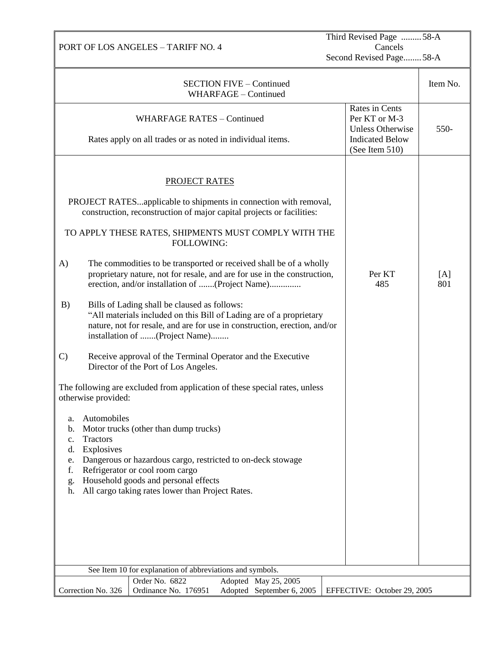PORT OF LOS ANGELES – TARIFF NO. 4

Third Revised Page .........58-A Cancels

Second Revised Page........58-A

|                                                                                                                                                       | <b>SECTION FIVE - Continued</b><br>WHARFAGE - Continued                                                                                                                                                                                                                                                                                                                                                                                                                                                                                                                                                                                                                                                                                                                                                                                                                                                                                                                                                                                                                                                               |                                                                                                        | Item No.   |
|-------------------------------------------------------------------------------------------------------------------------------------------------------|-----------------------------------------------------------------------------------------------------------------------------------------------------------------------------------------------------------------------------------------------------------------------------------------------------------------------------------------------------------------------------------------------------------------------------------------------------------------------------------------------------------------------------------------------------------------------------------------------------------------------------------------------------------------------------------------------------------------------------------------------------------------------------------------------------------------------------------------------------------------------------------------------------------------------------------------------------------------------------------------------------------------------------------------------------------------------------------------------------------------------|--------------------------------------------------------------------------------------------------------|------------|
|                                                                                                                                                       | <b>WHARFAGE RATES - Continued</b><br>Rates apply on all trades or as noted in individual items.                                                                                                                                                                                                                                                                                                                                                                                                                                                                                                                                                                                                                                                                                                                                                                                                                                                                                                                                                                                                                       | Rates in Cents<br>Per KT or M-3<br><b>Unless Otherwise</b><br><b>Indicated Below</b><br>(See Item 510) | 550-       |
| A)<br>B)<br>$\mathcal{C}$<br>otherwise provided:<br>Automobiles<br>a.<br>b.<br>Tractors<br>$\mathbf{c}$ .<br>Explosives<br>d.<br>e.<br>t.<br>g.<br>h. | <b>PROJECT RATES</b><br>PROJECT RATESapplicable to shipments in connection with removal,<br>construction, reconstruction of major capital projects or facilities:<br>TO APPLY THESE RATES, SHIPMENTS MUST COMPLY WITH THE<br><b>FOLLOWING:</b><br>The commodities to be transported or received shall be of a wholly<br>proprietary nature, not for resale, and are for use in the construction,<br>erection, and/or installation of (Project Name)<br>Bills of Lading shall be claused as follows:<br>"All materials included on this Bill of Lading are of a proprietary<br>nature, not for resale, and are for use in construction, erection, and/or<br>installation of (Project Name)<br>Receive approval of the Terminal Operator and the Executive<br>Director of the Port of Los Angeles.<br>The following are excluded from application of these special rates, unless<br>Motor trucks (other than dump trucks)<br>Dangerous or hazardous cargo, restricted to on-deck stowage<br>Refrigerator or cool room cargo<br>Household goods and personal effects<br>All cargo taking rates lower than Project Rates. | Per KT<br>485                                                                                          | [A]<br>801 |
|                                                                                                                                                       | See Item 10 for explanation of abbreviations and symbols.                                                                                                                                                                                                                                                                                                                                                                                                                                                                                                                                                                                                                                                                                                                                                                                                                                                                                                                                                                                                                                                             |                                                                                                        |            |
| Correction No. 326                                                                                                                                    | Order No. 6822<br>Adopted May 25, 2005<br>Ordinance No. 176951<br>Adopted September 6, 2005                                                                                                                                                                                                                                                                                                                                                                                                                                                                                                                                                                                                                                                                                                                                                                                                                                                                                                                                                                                                                           | EFFECTIVE: October 29, 2005                                                                            |            |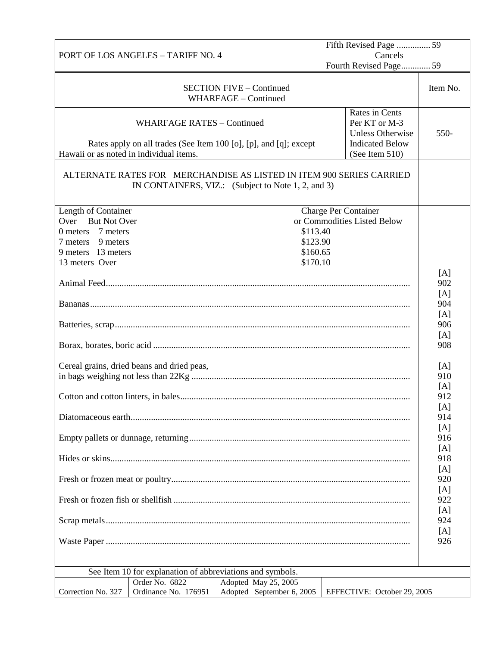|                                                                                                                                                   | Fifth Revised Page  59                                                                                 |            |
|---------------------------------------------------------------------------------------------------------------------------------------------------|--------------------------------------------------------------------------------------------------------|------------|
| <b>PORT OF LOS ANGELES - TARIFF NO. 4</b>                                                                                                         | Cancels<br>Fourth Revised Page 59                                                                      |            |
|                                                                                                                                                   |                                                                                                        |            |
| <b>SECTION FIVE - Continued</b><br>WHARFAGE - Continued                                                                                           |                                                                                                        | Item No.   |
| <b>WHARFAGE RATES - Continued</b><br>Rates apply on all trades (See Item 100 [o], [p], and [q]; except<br>Hawaii or as noted in individual items. | Rates in Cents<br>Per KT or M-3<br><b>Unless Otherwise</b><br><b>Indicated Below</b><br>(See Item 510) | 550-       |
|                                                                                                                                                   |                                                                                                        |            |
| ALTERNATE RATES FOR MERCHANDISE AS LISTED IN ITEM 900 SERIES CARRIED<br>IN CONTAINERS, VIZ.: (Subject to Note 1, 2, and 3)                        |                                                                                                        |            |
| Length of Container                                                                                                                               | <b>Charge Per Container</b>                                                                            |            |
| <b>But Not Over</b><br>Over                                                                                                                       | or Commodities Listed Below                                                                            |            |
| 7 meters<br>$0$ meters                                                                                                                            | \$113.40                                                                                               |            |
| 9 meters<br>7 meters                                                                                                                              | \$123.90                                                                                               |            |
| 9 meters 13 meters                                                                                                                                | \$160.65                                                                                               |            |
| 13 meters Over                                                                                                                                    | \$170.10                                                                                               |            |
|                                                                                                                                                   |                                                                                                        | [A]        |
|                                                                                                                                                   |                                                                                                        | 902        |
|                                                                                                                                                   |                                                                                                        | [A]        |
|                                                                                                                                                   |                                                                                                        | 904        |
|                                                                                                                                                   |                                                                                                        | [A]        |
|                                                                                                                                                   |                                                                                                        | 906        |
|                                                                                                                                                   |                                                                                                        | [A]<br>908 |
|                                                                                                                                                   |                                                                                                        |            |
| Cereal grains, dried beans and dried peas,                                                                                                        |                                                                                                        | [A]        |
|                                                                                                                                                   |                                                                                                        | 910        |
|                                                                                                                                                   |                                                                                                        | [A]        |
|                                                                                                                                                   |                                                                                                        | 912        |
|                                                                                                                                                   |                                                                                                        | [A]        |
|                                                                                                                                                   |                                                                                                        | 914        |
|                                                                                                                                                   |                                                                                                        | [A]        |
|                                                                                                                                                   |                                                                                                        | 916        |
|                                                                                                                                                   |                                                                                                        | [A]        |
|                                                                                                                                                   |                                                                                                        | 918        |
|                                                                                                                                                   |                                                                                                        | [A]<br>920 |
|                                                                                                                                                   |                                                                                                        | [A]        |
|                                                                                                                                                   |                                                                                                        | 922        |
|                                                                                                                                                   |                                                                                                        | [A]<br>924 |
|                                                                                                                                                   |                                                                                                        | [A]        |
|                                                                                                                                                   |                                                                                                        | 926        |
|                                                                                                                                                   |                                                                                                        |            |
| See Item 10 for explanation of abbreviations and symbols.                                                                                         |                                                                                                        |            |
| Order No. 6822<br>Adopted May 25, 2005                                                                                                            |                                                                                                        |            |
| Correction No. 327<br>Ordinance No. 176951<br>Adopted September 6, 2005                                                                           | EFFECTIVE: October 29, 2005                                                                            |            |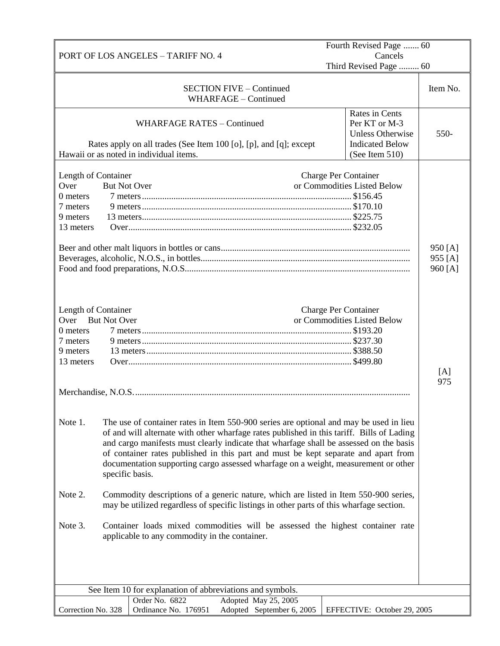|                     |                                                                                           | Fourth Revised Page  60     |          |
|---------------------|-------------------------------------------------------------------------------------------|-----------------------------|----------|
|                     | PORT OF LOS ANGELES - TARIFF NO. 4                                                        | Cancels                     |          |
|                     |                                                                                           | Third Revised Page  60      |          |
|                     |                                                                                           |                             |          |
|                     | <b>SECTION FIVE – Continued</b>                                                           |                             | Item No. |
|                     | WHARFAGE - Continued                                                                      |                             |          |
|                     |                                                                                           | Rates in Cents              |          |
|                     | <b>WHARFAGE RATES - Continued</b>                                                         | Per KT or M-3               |          |
|                     |                                                                                           | <b>Unless Otherwise</b>     | 550-     |
|                     | Rates apply on all trades (See Item 100 [o], [p], and [q]; except                         | <b>Indicated Below</b>      |          |
|                     | Hawaii or as noted in individual items.                                                   | (See Item 510)              |          |
|                     |                                                                                           |                             |          |
| Length of Container |                                                                                           | <b>Charge Per Container</b> |          |
| Over                | <b>But Not Over</b>                                                                       | or Commodities Listed Below |          |
| 0 meters            |                                                                                           |                             |          |
| 7 meters            |                                                                                           |                             |          |
| 9 meters            |                                                                                           |                             |          |
| 13 meters           |                                                                                           |                             |          |
|                     |                                                                                           |                             |          |
|                     |                                                                                           |                             | 950 [A]  |
|                     |                                                                                           |                             | 955 [A]  |
|                     |                                                                                           |                             | 960 [A]  |
|                     |                                                                                           |                             |          |
|                     |                                                                                           |                             |          |
| Length of Container |                                                                                           | Charge Per Container        |          |
| Over                | <b>But Not Over</b>                                                                       | or Commodities Listed Below |          |
| 0 meters            |                                                                                           |                             |          |
| 7 meters            |                                                                                           |                             |          |
| 9 meters            |                                                                                           |                             |          |
| 13 meters           |                                                                                           |                             |          |
|                     |                                                                                           |                             | [A]      |
|                     |                                                                                           |                             | 975      |
|                     |                                                                                           |                             |          |
|                     |                                                                                           |                             |          |
|                     |                                                                                           |                             |          |
| Note 1.             | The use of container rates in Item 550-900 series are optional and may be used in lieu    |                             |          |
|                     | of and will alternate with other wharfage rates published in this tariff. Bills of Lading |                             |          |
|                     | and cargo manifests must clearly indicate that wharfage shall be assessed on the basis    |                             |          |
|                     | of container rates published in this part and must be kept separate and apart from        |                             |          |
|                     | documentation supporting cargo assessed wharfage on a weight, measurement or other        |                             |          |
|                     | specific basis.                                                                           |                             |          |
|                     |                                                                                           |                             |          |
| Note 2.             | Commodity descriptions of a generic nature, which are listed in Item 550-900 series,      |                             |          |
|                     | may be utilized regardless of specific listings in other parts of this wharfage section.  |                             |          |
|                     |                                                                                           |                             |          |
| Note 3.             | Container loads mixed commodities will be assessed the highest container rate             |                             |          |
|                     | applicable to any commodity in the container.                                             |                             |          |
|                     |                                                                                           |                             |          |
|                     |                                                                                           |                             |          |
|                     |                                                                                           |                             |          |
|                     |                                                                                           |                             |          |
|                     | See Item 10 for explanation of abbreviations and symbols.                                 |                             |          |
|                     | Adopted May 25, 2005<br>Order No. 6822                                                    |                             |          |
| Correction No. 328  | Ordinance No. 176951<br>Adopted September 6, 2005                                         | EFFECTIVE: October 29, 2005 |          |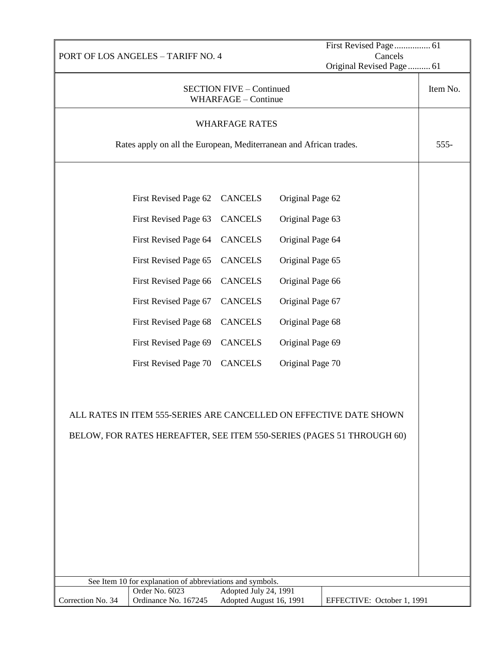|                       | PORT OF LOS ANGELES - TARIFF NO. 4                                    |                                                        |                  | Cancels                    |          |
|-----------------------|-----------------------------------------------------------------------|--------------------------------------------------------|------------------|----------------------------|----------|
|                       |                                                                       |                                                        |                  | Original Revised Page 61   |          |
|                       |                                                                       | <b>SECTION FIVE - Continued</b><br>WHARFAGE - Continue |                  |                            | Item No. |
| <b>WHARFAGE RATES</b> |                                                                       |                                                        |                  |                            |          |
|                       | Rates apply on all the European, Mediterranean and African trades.    |                                                        |                  |                            | $555 -$  |
|                       |                                                                       |                                                        |                  |                            |          |
|                       | First Revised Page 62                                                 | <b>CANCELS</b>                                         | Original Page 62 |                            |          |
|                       | First Revised Page 63                                                 | <b>CANCELS</b>                                         | Original Page 63 |                            |          |
|                       | First Revised Page 64                                                 | <b>CANCELS</b>                                         | Original Page 64 |                            |          |
|                       | First Revised Page 65                                                 | <b>CANCELS</b>                                         | Original Page 65 |                            |          |
|                       | First Revised Page 66                                                 | <b>CANCELS</b>                                         | Original Page 66 |                            |          |
|                       | First Revised Page 67                                                 | <b>CANCELS</b>                                         | Original Page 67 |                            |          |
|                       | First Revised Page 68                                                 | <b>CANCELS</b>                                         | Original Page 68 |                            |          |
|                       | First Revised Page 69                                                 | <b>CANCELS</b>                                         | Original Page 69 |                            |          |
|                       | First Revised Page 70                                                 | <b>CANCELS</b>                                         | Original Page 70 |                            |          |
|                       |                                                                       |                                                        |                  |                            |          |
|                       | ALL RATES IN ITEM 555-SERIES ARE CANCELLED ON EFFECTIVE DATE SHOWN    |                                                        |                  |                            |          |
|                       | BELOW, FOR RATES HEREAFTER, SEE ITEM 550-SERIES (PAGES 51 THROUGH 60) |                                                        |                  |                            |          |
|                       |                                                                       |                                                        |                  |                            |          |
|                       |                                                                       |                                                        |                  |                            |          |
|                       |                                                                       |                                                        |                  |                            |          |
|                       |                                                                       |                                                        |                  |                            |          |
|                       |                                                                       |                                                        |                  |                            |          |
|                       |                                                                       |                                                        |                  |                            |          |
|                       |                                                                       |                                                        |                  |                            |          |
|                       | See Item 10 for explanation of abbreviations and symbols.             |                                                        |                  |                            |          |
|                       | Order No. 6023                                                        | Adopted July 24, 1991                                  |                  |                            |          |
| Correction No. 34     | Ordinance No. 167245                                                  | Adopted August 16, 1991                                |                  | EFFECTIVE: October 1, 1991 |          |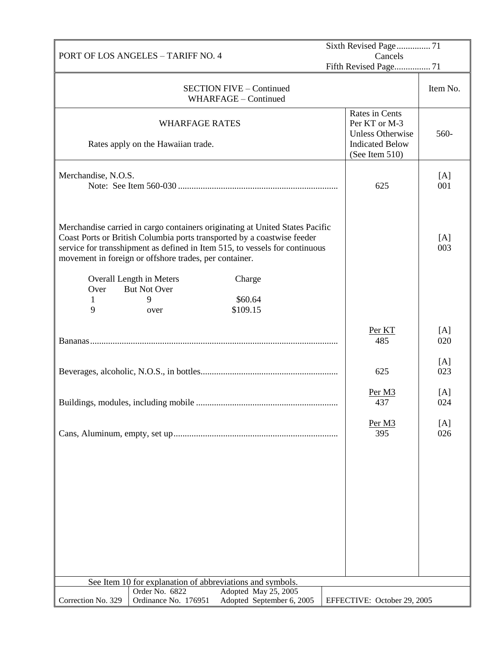| PORT OF LOS ANGELES - TARIFF NO. 4 |                                                                                                                                                                                                                                                                                                  |                                                                                                        | Sixth Revised Page71<br>Cancels |  |  |
|------------------------------------|--------------------------------------------------------------------------------------------------------------------------------------------------------------------------------------------------------------------------------------------------------------------------------------------------|--------------------------------------------------------------------------------------------------------|---------------------------------|--|--|
|                                    |                                                                                                                                                                                                                                                                                                  | Fifth Revised Page 71                                                                                  |                                 |  |  |
|                                    | <b>SECTION FIVE - Continued</b><br>WHARFAGE - Continued                                                                                                                                                                                                                                          |                                                                                                        | Item No.                        |  |  |
|                                    | <b>WHARFAGE RATES</b><br>Rates apply on the Hawaiian trade.                                                                                                                                                                                                                                      | Rates in Cents<br>Per KT or M-3<br><b>Unless Otherwise</b><br><b>Indicated Below</b><br>(See Item 510) | 560-                            |  |  |
| Merchandise, N.O.S.                |                                                                                                                                                                                                                                                                                                  | 625                                                                                                    | [A]<br>001                      |  |  |
|                                    | Merchandise carried in cargo containers originating at United States Pacific<br>Coast Ports or British Columbia ports transported by a coastwise feeder<br>service for transshipment as defined in Item 515, to vessels for continuous<br>movement in foreign or offshore trades, per container. |                                                                                                        | [A]<br>003                      |  |  |
| Over<br>1<br>9                     | Overall Length in Meters<br>Charge<br><b>But Not Over</b><br>\$60.64<br>9<br>\$109.15<br>over                                                                                                                                                                                                    |                                                                                                        |                                 |  |  |
|                                    |                                                                                                                                                                                                                                                                                                  | Per KT<br>485                                                                                          | [A]<br>020                      |  |  |
|                                    |                                                                                                                                                                                                                                                                                                  | 625                                                                                                    | [A]<br>023                      |  |  |
|                                    | Buildings, modules, including mobile                                                                                                                                                                                                                                                             | Per M3<br>437                                                                                          | [A]<br>024                      |  |  |
|                                    |                                                                                                                                                                                                                                                                                                  | Per M3<br>395                                                                                          | [A]<br>026                      |  |  |
|                                    |                                                                                                                                                                                                                                                                                                  |                                                                                                        |                                 |  |  |
|                                    |                                                                                                                                                                                                                                                                                                  |                                                                                                        |                                 |  |  |
|                                    |                                                                                                                                                                                                                                                                                                  |                                                                                                        |                                 |  |  |
|                                    |                                                                                                                                                                                                                                                                                                  |                                                                                                        |                                 |  |  |
|                                    | See Item 10 for explanation of abbreviations and symbols.                                                                                                                                                                                                                                        |                                                                                                        |                                 |  |  |
| Correction No. 329                 | Order No. 6822<br>Adopted May 25, 2005<br>Adopted September 6, 2005<br>Ordinance No. 176951                                                                                                                                                                                                      | EFFECTIVE: October 29, 2005                                                                            |                                 |  |  |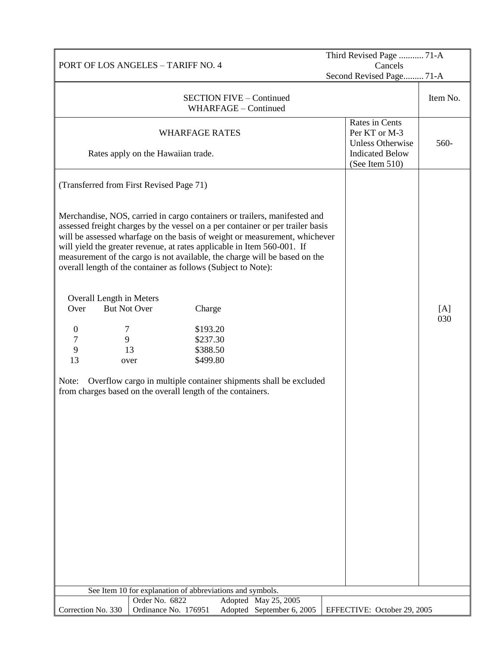| PORT OF LOS ANGELES - TARIFF NO. 4 |                                                                                                                                                                                                                                                                                                                                                                                                                                                                     |                                                         | Third Revised Page  71-A<br>Cancels |                                                                                      |  |            |
|------------------------------------|---------------------------------------------------------------------------------------------------------------------------------------------------------------------------------------------------------------------------------------------------------------------------------------------------------------------------------------------------------------------------------------------------------------------------------------------------------------------|---------------------------------------------------------|-------------------------------------|--------------------------------------------------------------------------------------|--|------------|
|                                    |                                                                                                                                                                                                                                                                                                                                                                                                                                                                     |                                                         |                                     | Second Revised Page 71-A                                                             |  |            |
|                                    |                                                                                                                                                                                                                                                                                                                                                                                                                                                                     | <b>SECTION FIVE - Continued</b><br>WHARFAGE - Continued |                                     |                                                                                      |  | Item No.   |
|                                    | <b>WHARFAGE RATES</b>                                                                                                                                                                                                                                                                                                                                                                                                                                               |                                                         |                                     | Rates in Cents<br>Per KT or M-3<br><b>Unless Otherwise</b><br><b>Indicated Below</b> |  | 560-       |
|                                    | Rates apply on the Hawaiian trade.                                                                                                                                                                                                                                                                                                                                                                                                                                  |                                                         |                                     | (See Item 510)                                                                       |  |            |
|                                    | (Transferred from First Revised Page 71)                                                                                                                                                                                                                                                                                                                                                                                                                            |                                                         |                                     |                                                                                      |  |            |
|                                    | Merchandise, NOS, carried in cargo containers or trailers, manifested and<br>assessed freight charges by the vessel on a per container or per trailer basis<br>will be assessed wharfage on the basis of weight or measurement, whichever<br>will yield the greater revenue, at rates applicable in Item 560-001. If<br>measurement of the cargo is not available, the charge will be based on the<br>overall length of the container as follows (Subject to Note): |                                                         |                                     |                                                                                      |  |            |
| Overall Length in Meters<br>Over   | <b>But Not Over</b><br>Charge                                                                                                                                                                                                                                                                                                                                                                                                                                       |                                                         |                                     |                                                                                      |  | [A]<br>030 |
| $\boldsymbol{0}$<br>7              | \$193.20                                                                                                                                                                                                                                                                                                                                                                                                                                                            |                                                         |                                     |                                                                                      |  |            |
| 7<br>9                             | \$237.30                                                                                                                                                                                                                                                                                                                                                                                                                                                            |                                                         |                                     |                                                                                      |  |            |
| 9                                  | \$388.50<br>13                                                                                                                                                                                                                                                                                                                                                                                                                                                      |                                                         |                                     |                                                                                      |  |            |
| 13                                 | \$499.80<br>over                                                                                                                                                                                                                                                                                                                                                                                                                                                    |                                                         |                                     |                                                                                      |  |            |
| Note:                              | Overflow cargo in multiple container shipments shall be excluded<br>from charges based on the overall length of the containers.<br>See Item 10 for explanation of abbreviations and symbols.                                                                                                                                                                                                                                                                        |                                                         |                                     |                                                                                      |  |            |
|                                    | Order No. 6822                                                                                                                                                                                                                                                                                                                                                                                                                                                      |                                                         | Adopted May 25, 2005                |                                                                                      |  |            |
| Correction No. 330                 | Ordinance No. 176951                                                                                                                                                                                                                                                                                                                                                                                                                                                |                                                         | Adopted September 6, 2005           | EFFECTIVE: October 29, 2005                                                          |  |            |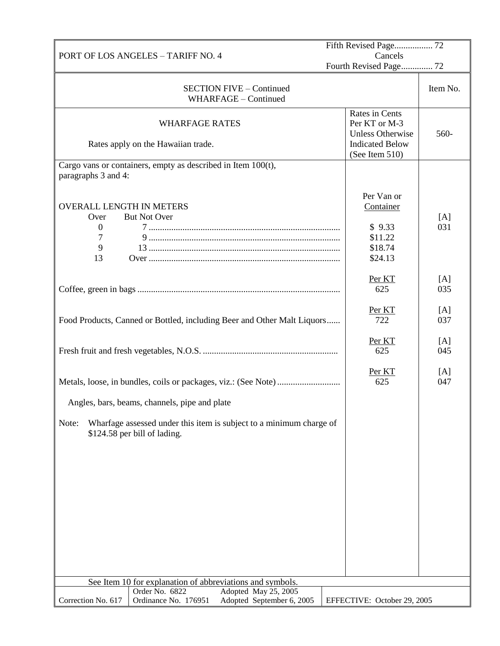|                                 | PORT OF LOS ANGELES - TARIFF NO. 4                                      | Cancels                     |            |  |
|---------------------------------|-------------------------------------------------------------------------|-----------------------------|------------|--|
|                                 |                                                                         | Fourth Revised Page 72      |            |  |
|                                 |                                                                         |                             |            |  |
|                                 | <b>SECTION FIVE - Continued</b>                                         |                             | Item No.   |  |
|                                 | WHARFAGE - Continued                                                    |                             |            |  |
|                                 |                                                                         | Rates in Cents              |            |  |
|                                 | <b>WHARFAGE RATES</b>                                                   | Per KT or M-3               |            |  |
|                                 |                                                                         | <b>Unless Otherwise</b>     | 560-       |  |
|                                 | Rates apply on the Hawaiian trade.                                      | <b>Indicated Below</b>      |            |  |
|                                 | Cargo vans or containers, empty as described in Item 100(t),            | (See Item 510)              |            |  |
| paragraphs 3 and 4:             |                                                                         |                             |            |  |
|                                 |                                                                         |                             |            |  |
|                                 |                                                                         | Per Van or                  |            |  |
| <b>OVERALL LENGTH IN METERS</b> |                                                                         | Container                   |            |  |
| Over                            | <b>But Not Over</b>                                                     |                             | [A]        |  |
| $\mathbf{0}$                    |                                                                         | \$9.33                      | 031        |  |
| 7                               |                                                                         | \$11.22                     |            |  |
| 9                               |                                                                         | \$18.74                     |            |  |
| 13                              |                                                                         | \$24.13                     |            |  |
|                                 |                                                                         |                             |            |  |
|                                 |                                                                         | Per KT                      | [A]        |  |
|                                 |                                                                         | 625                         | 035        |  |
|                                 |                                                                         |                             |            |  |
|                                 |                                                                         | Per KT                      | [A]        |  |
|                                 | Food Products, Canned or Bottled, including Beer and Other Malt Liquors | 722                         | 037        |  |
|                                 |                                                                         |                             |            |  |
|                                 |                                                                         | Per KT<br>625               | [A]<br>045 |  |
|                                 |                                                                         |                             |            |  |
|                                 |                                                                         | Per KT                      | [A]        |  |
|                                 |                                                                         | 625                         | 047        |  |
|                                 |                                                                         |                             |            |  |
|                                 | Angles, bars, beams, channels, pipe and plate                           |                             |            |  |
|                                 |                                                                         |                             |            |  |
| Note:                           | Wharfage assessed under this item is subject to a minimum charge of     |                             |            |  |
| \$124.58 per bill of lading.    |                                                                         |                             |            |  |
|                                 |                                                                         |                             |            |  |
|                                 |                                                                         |                             |            |  |
|                                 |                                                                         |                             |            |  |
|                                 |                                                                         |                             |            |  |
|                                 |                                                                         |                             |            |  |
|                                 |                                                                         |                             |            |  |
|                                 |                                                                         |                             |            |  |
|                                 |                                                                         |                             |            |  |
|                                 |                                                                         |                             |            |  |
|                                 |                                                                         |                             |            |  |
|                                 |                                                                         |                             |            |  |
|                                 |                                                                         |                             |            |  |
|                                 | See Item 10 for explanation of abbreviations and symbols.               |                             |            |  |
|                                 | Adopted May 25, 2005<br>Order No. 6822                                  |                             |            |  |
| Correction No. 617              | Ordinance No. 176951<br>Adopted September 6, 2005                       | EFFECTIVE: October 29, 2005 |            |  |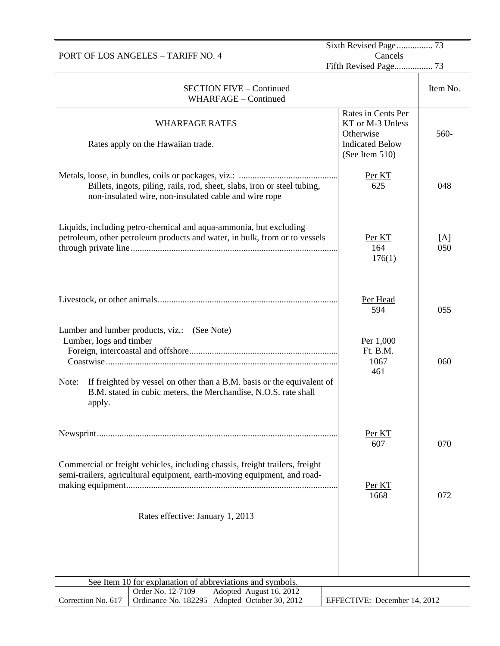| PORT OF LOS ANGELES - TARIFF NO. 4                                                                                                                           | Cancels                                                                                         |            |  |
|--------------------------------------------------------------------------------------------------------------------------------------------------------------|-------------------------------------------------------------------------------------------------|------------|--|
|                                                                                                                                                              | Fifth Revised Page 73                                                                           |            |  |
| <b>SECTION FIVE - Continued</b><br>WHARFAGE - Continued                                                                                                      |                                                                                                 | Item No.   |  |
| <b>WHARFAGE RATES</b><br>Rates apply on the Hawaiian trade.                                                                                                  | Rates in Cents Per<br>KT or M-3 Unless<br>Otherwise<br><b>Indicated Below</b><br>(See Item 510) | 560-       |  |
| Billets, ingots, piling, rails, rod, sheet, slabs, iron or steel tubing,<br>non-insulated wire, non-insulated cable and wire rope                            | Per KT<br>625                                                                                   | 048        |  |
| Liquids, including petro-chemical and aqua-ammonia, but excluding<br>petroleum, other petroleum products and water, in bulk, from or to vessels              | Per KT<br>164<br>176(1)                                                                         | [A]<br>050 |  |
|                                                                                                                                                              | Per Head<br>594                                                                                 | 055        |  |
| Lumber and lumber products, viz.: (See Note)<br>Lumber, logs and timber                                                                                      | Per 1,000<br>Ft. B.M.<br>1067<br>461                                                            | 060        |  |
| If freighted by vessel on other than a B.M. basis or the equivalent of<br>Note:<br>B.M. stated in cubic meters, the Merchandise, N.O.S. rate shall<br>apply. |                                                                                                 |            |  |
|                                                                                                                                                              | Per KT<br>607                                                                                   | 070        |  |
| Commercial or freight vehicles, including chassis, freight trailers, freight<br>semi-trailers, agricultural equipment, earth-moving equipment, and road-     | Per KT<br>1668                                                                                  | 072        |  |
| Rates effective: January 1, 2013                                                                                                                             |                                                                                                 |            |  |
| See Item 10 for explanation of abbreviations and symbols.<br>Order No. 12-7109                                                                               |                                                                                                 |            |  |
| Adopted August 16, 2012<br>Adopted October 30, 2012<br>Correction No. 617<br>Ordinance No. 182295                                                            | EFFECTIVE: December 14, 2012                                                                    |            |  |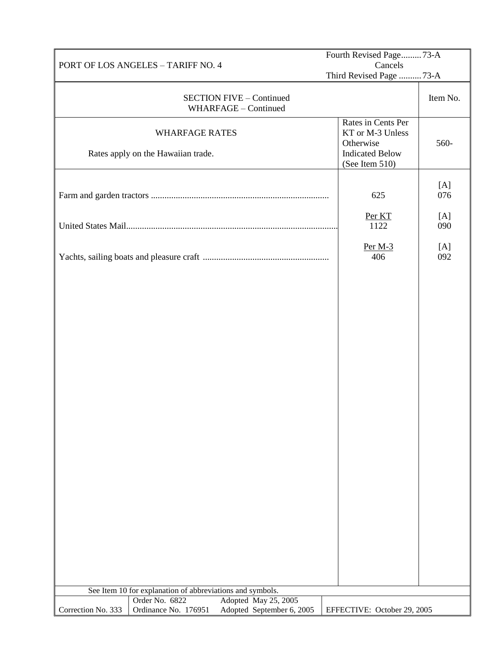|                                               |                                                             |                                                         | Fourth Revised Page73-A                                                                         |            |
|-----------------------------------------------|-------------------------------------------------------------|---------------------------------------------------------|-------------------------------------------------------------------------------------------------|------------|
| Cancels<br>PORT OF LOS ANGELES - TARIFF NO. 4 |                                                             |                                                         |                                                                                                 |            |
|                                               |                                                             |                                                         | Third Revised Page 73-A                                                                         |            |
|                                               |                                                             | <b>SECTION FIVE - Continued</b><br>WHARFAGE - Continued |                                                                                                 | Item No.   |
|                                               | <b>WHARFAGE RATES</b><br>Rates apply on the Hawaiian trade. |                                                         | Rates in Cents Per<br>KT or M-3 Unless<br>Otherwise<br><b>Indicated Below</b><br>(See Item 510) | 560-       |
|                                               |                                                             |                                                         | 625                                                                                             | [A]<br>076 |
|                                               |                                                             |                                                         | Per KT<br>1122                                                                                  | [A]<br>090 |
|                                               |                                                             |                                                         | Per $M-3$<br>406                                                                                | [A]<br>092 |
|                                               | See Item 10 for explanation of abbreviations and symbols.   |                                                         |                                                                                                 |            |
|                                               | Order No. 6822                                              | Adopted May 25, 2005                                    |                                                                                                 |            |
| Correction No. 333                            | Ordinance No. 176951                                        | Adopted September 6, 2005                               | EFFECTIVE: October 29, 2005                                                                     |            |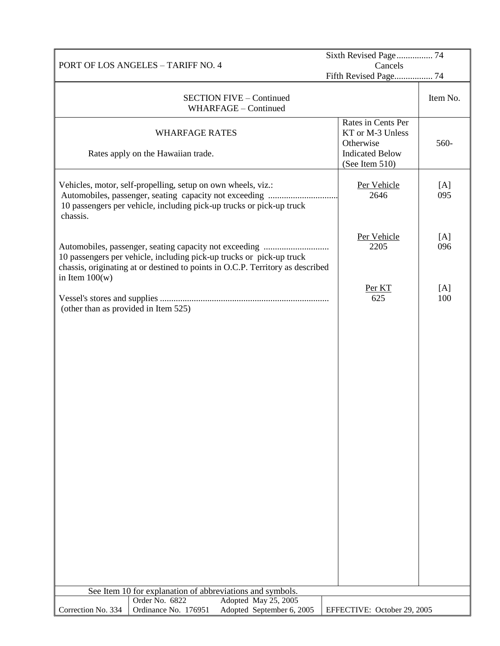|                                                                                                                                                                            | Sixth Revised Page 74                                                                           |            |  |
|----------------------------------------------------------------------------------------------------------------------------------------------------------------------------|-------------------------------------------------------------------------------------------------|------------|--|
| PORT OF LOS ANGELES - TARIFF NO. 4                                                                                                                                         | Cancels<br>Fifth Revised Page 74                                                                |            |  |
| <b>SECTION FIVE - Continued</b><br>WHARFAGE - Continued                                                                                                                    |                                                                                                 | Item No.   |  |
| <b>WHARFAGE RATES</b><br>Rates apply on the Hawaiian trade.                                                                                                                | Rates in Cents Per<br>KT or M-3 Unless<br>Otherwise<br><b>Indicated Below</b><br>(See Item 510) | 560-       |  |
| Vehicles, motor, self-propelling, setup on own wheels, viz.:<br>10 passengers per vehicle, including pick-up trucks or pick-up truck<br>chassis.                           | Per Vehicle<br>2646                                                                             | [A]<br>095 |  |
| 10 passengers per vehicle, including pick-up trucks or pick-up truck<br>chassis, originating at or destined to points in O.C.P. Territory as described<br>in Item $100(w)$ | Per Vehicle<br>2205                                                                             | [A]<br>096 |  |
| (other than as provided in Item 525)                                                                                                                                       | Per KT<br>625                                                                                   | [A]<br>100 |  |
|                                                                                                                                                                            |                                                                                                 |            |  |
| See Item 10 for explanation of abbreviations and symbols.<br>Adopted May 25, 2005<br>Order No. 6822                                                                        |                                                                                                 |            |  |
| Adopted September 6, 2005<br>Correction No. 334<br>Ordinance No. 176951                                                                                                    | EFFECTIVE: October 29, 2005                                                                     |            |  |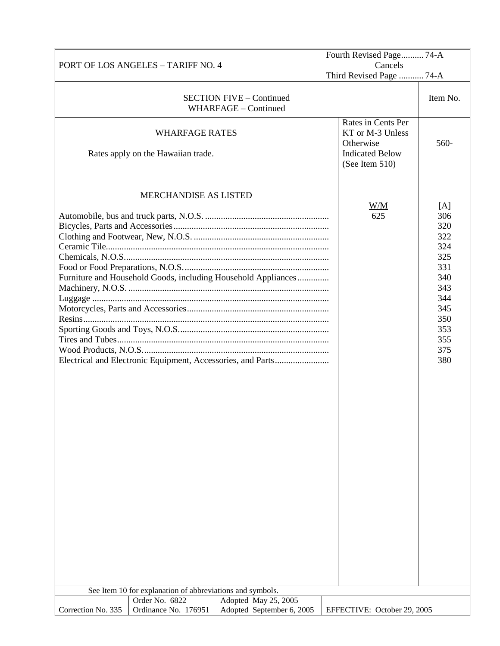|                    |                                                                             |                                                               | Fourth Revised Page 74-A                                                      |                                                             |
|--------------------|-----------------------------------------------------------------------------|---------------------------------------------------------------|-------------------------------------------------------------------------------|-------------------------------------------------------------|
|                    | PORT OF LOS ANGELES - TARIFF NO. 4                                          |                                                               | Cancels<br>Third Revised Page  74-A                                           |                                                             |
|                    |                                                                             |                                                               |                                                                               |                                                             |
|                    |                                                                             | <b>SECTION FIVE - Continued</b><br>WHARFAGE - Continued       |                                                                               | Item No.                                                    |
|                    | <b>WHARFAGE RATES</b><br>Rates apply on the Hawaiian trade.                 |                                                               | Rates in Cents Per<br>KT or M-3 Unless<br>Otherwise<br><b>Indicated Below</b> | 560-                                                        |
|                    |                                                                             |                                                               | (See Item 510)                                                                |                                                             |
|                    | <b>MERCHANDISE AS LISTED</b>                                                |                                                               | W/M<br>625                                                                    | [A]<br>306<br>320<br>322<br>324                             |
|                    |                                                                             | Furniture and Household Goods, including Household Appliances |                                                                               | 325<br>331<br>340<br>343<br>344<br>345<br>350<br>353<br>355 |
|                    |                                                                             |                                                               |                                                                               | 375<br>380                                                  |
|                    | See Item 10 for explanation of abbreviations and symbols.<br>Order No. 6822 | Adopted May 25, 2005                                          |                                                                               |                                                             |
| Correction No. 335 | Ordinance No. 176951                                                        | Adopted September 6, 2005                                     | EFFECTIVE: October 29, 2005                                                   |                                                             |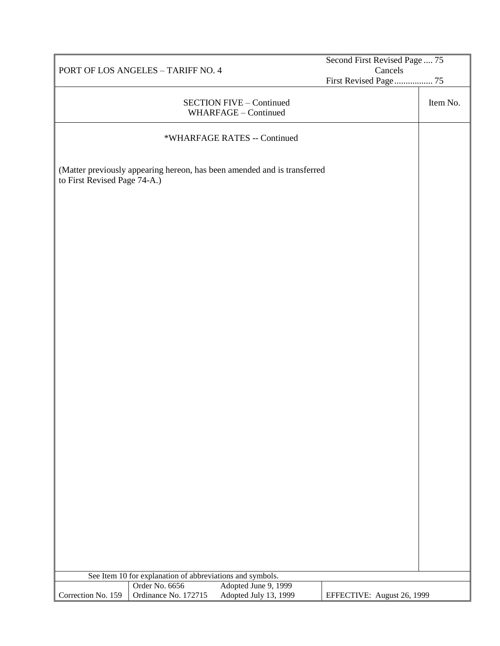|                              |                                                           | Second First Revised Page  75                                            |                            |          |
|------------------------------|-----------------------------------------------------------|--------------------------------------------------------------------------|----------------------------|----------|
|                              | PORT OF LOS ANGELES - TARIFF NO. 4                        |                                                                          | Cancels                    |          |
|                              |                                                           |                                                                          | First Revised Page 75      |          |
|                              |                                                           | <b>SECTION FIVE - Continued</b><br>WHARFAGE - Continued                  |                            | Item No. |
|                              |                                                           | *WHARFAGE RATES -- Continued                                             |                            |          |
| to First Revised Page 74-A.) |                                                           | (Matter previously appearing hereon, has been amended and is transferred |                            |          |
|                              |                                                           |                                                                          |                            |          |
|                              |                                                           |                                                                          |                            |          |
|                              |                                                           |                                                                          |                            |          |
|                              |                                                           |                                                                          |                            |          |
|                              |                                                           |                                                                          |                            |          |
|                              |                                                           |                                                                          |                            |          |
|                              |                                                           |                                                                          |                            |          |
|                              |                                                           |                                                                          |                            |          |
|                              |                                                           |                                                                          |                            |          |
|                              |                                                           |                                                                          |                            |          |
|                              |                                                           |                                                                          |                            |          |
|                              |                                                           |                                                                          |                            |          |
|                              | See Item 10 for explanation of abbreviations and symbols. |                                                                          |                            |          |
|                              | Order No. 6656                                            | Adopted June 9, 1999                                                     |                            |          |
| Correction No. 159           | Ordinance No. 172715                                      | Adopted July 13, 1999                                                    | EFFECTIVE: August 26, 1999 |          |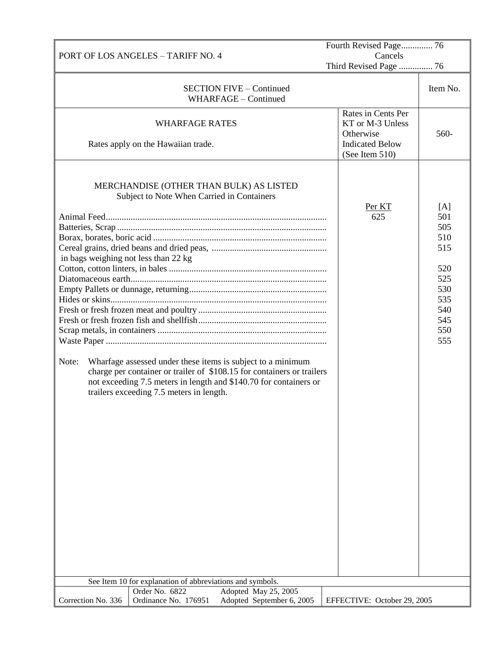|                                               |                                                                                                                                                                                                                                                                                                                                                                                                              | Fourth Revised Page 76                                                                          |                                                                                         |
|-----------------------------------------------|--------------------------------------------------------------------------------------------------------------------------------------------------------------------------------------------------------------------------------------------------------------------------------------------------------------------------------------------------------------------------------------------------------------|-------------------------------------------------------------------------------------------------|-----------------------------------------------------------------------------------------|
|                                               | PORT OF LOS ANGELES - TARIFF NO. 4                                                                                                                                                                                                                                                                                                                                                                           | Cancels<br>Third Revised Page  76                                                               |                                                                                         |
|                                               | <b>SECTION FIVE - Continued</b><br>WHARFAGE - Continued                                                                                                                                                                                                                                                                                                                                                      |                                                                                                 | Item No.                                                                                |
|                                               | <b>WHARFAGE RATES</b><br>Rates apply on the Hawaiian trade.                                                                                                                                                                                                                                                                                                                                                  | Rates in Cents Per<br>KT or M-3 Unless<br>Otherwise<br><b>Indicated Below</b><br>(See Item 510) | 560-                                                                                    |
| in bags weighing not less than 22 kg<br>Note: | MERCHANDISE (OTHER THAN BULK) AS LISTED<br>Subject to Note When Carried in Containers<br>Wharfage assessed under these items is subject to a minimum<br>charge per container or trailer of \$108.15 for containers or trailers<br>not exceeding 7.5 meters in length and \$140.70 for containers or<br>trailers exceeding 7.5 meters in length.<br>See Item 10 for explanation of abbreviations and symbols. | Per KT<br>625                                                                                   | [A]<br>501<br>505<br>510<br>515<br>520<br>525<br>530<br>535<br>540<br>545<br>550<br>555 |
|                                               | Order No. 6822<br>Adopted May 25, 2005                                                                                                                                                                                                                                                                                                                                                                       |                                                                                                 |                                                                                         |
| Correction No. 336                            | Ordinance No. 176951<br>Adopted September 6, 2005                                                                                                                                                                                                                                                                                                                                                            | EFFECTIVE: October 29, 2005                                                                     |                                                                                         |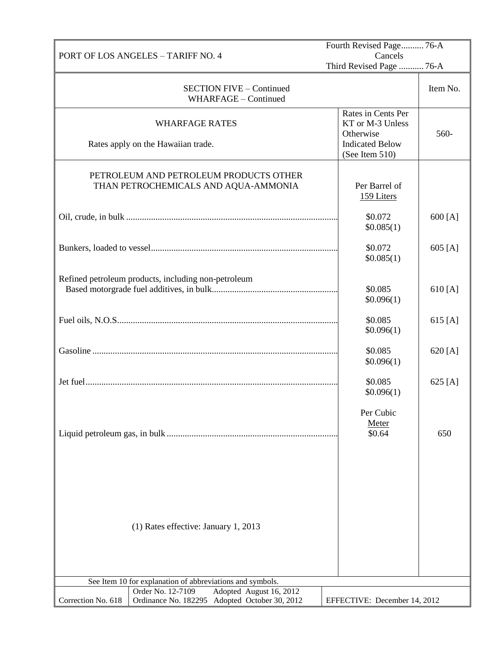|                                                                                                           | Fourth Revised Page 76-A                            |          |  |
|-----------------------------------------------------------------------------------------------------------|-----------------------------------------------------|----------|--|
| PORT OF LOS ANGELES - TARIFF NO. 4                                                                        | Cancels<br>Third Revised Page  76-A                 |          |  |
|                                                                                                           |                                                     |          |  |
| <b>SECTION FIVE - Continued</b><br>WHARFAGE - Continued                                                   |                                                     | Item No. |  |
| <b>WHARFAGE RATES</b>                                                                                     | Rates in Cents Per<br>KT or M-3 Unless<br>Otherwise | 560-     |  |
| Rates apply on the Hawaiian trade.                                                                        | <b>Indicated Below</b><br>(See Item 510)            |          |  |
| PETROLEUM AND PETROLEUM PRODUCTS OTHER<br>THAN PETROCHEMICALS AND AQUA-AMMONIA                            | Per Barrel of<br>159 Liters                         |          |  |
|                                                                                                           | \$0.072<br>\$0.085(1)                               | 600 [A]  |  |
|                                                                                                           | \$0.072<br>\$0.085(1)                               | 605 [A]  |  |
| Refined petroleum products, including non-petroleum                                                       | \$0.085<br>\$0.096(1)                               | 610 [A]  |  |
|                                                                                                           | \$0.085<br>\$0.096(1)                               | 615 [A]  |  |
|                                                                                                           | \$0.085<br>\$0.096(1)                               | 620 [A]  |  |
|                                                                                                           | \$0.085<br>\$0.096(1)                               | 625 [A]  |  |
|                                                                                                           | Per Cubic<br>Meter<br>\$0.64                        | 650      |  |
| (1) Rates effective: January 1, 2013                                                                      |                                                     |          |  |
| See Item 10 for explanation of abbreviations and symbols.<br>Order No. 12-7109<br>Adopted August 16, 2012 |                                                     |          |  |
| Correction No. 618<br>Ordinance No. 182295<br>Adopted October 30, 2012                                    | EFFECTIVE: December 14, 2012                        |          |  |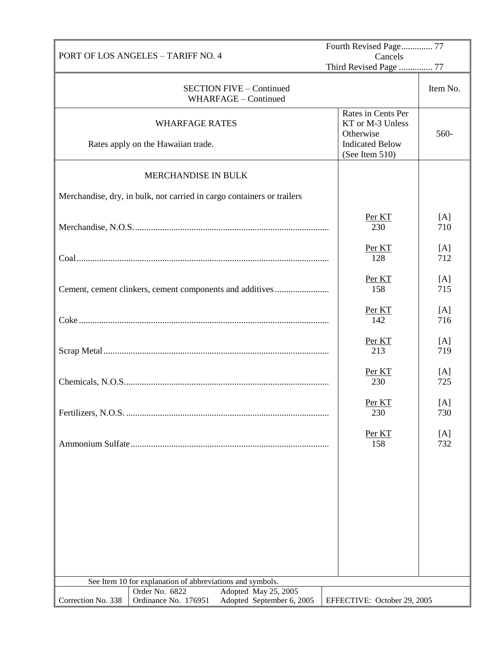| PORT OF LOS ANGELES - TARIFF NO. 4 |                                                                                             |                                                                                                 | Fourth Revised Page 77<br>Cancels |  |  |
|------------------------------------|---------------------------------------------------------------------------------------------|-------------------------------------------------------------------------------------------------|-----------------------------------|--|--|
|                                    |                                                                                             | Third Revised Page  77                                                                          |                                   |  |  |
|                                    | <b>SECTION FIVE - Continued</b><br>WHARFAGE - Continued                                     |                                                                                                 | Item No.                          |  |  |
|                                    | <b>WHARFAGE RATES</b><br>Rates apply on the Hawaiian trade.                                 | Rates in Cents Per<br>KT or M-3 Unless<br>Otherwise<br><b>Indicated Below</b><br>(See Item 510) | 560-                              |  |  |
|                                    | MERCHANDISE IN BULK                                                                         |                                                                                                 |                                   |  |  |
|                                    | Merchandise, dry, in bulk, not carried in cargo containers or trailers                      |                                                                                                 |                                   |  |  |
|                                    |                                                                                             | Per KT<br>230                                                                                   | [A]<br>710                        |  |  |
|                                    |                                                                                             | Per KT<br>128                                                                                   | [A]<br>712                        |  |  |
|                                    | Cement, cement clinkers, cement components and additives                                    | Per KT<br>158                                                                                   | [A]<br>715                        |  |  |
|                                    |                                                                                             | Per KT<br>142                                                                                   | [A]<br>716                        |  |  |
|                                    |                                                                                             | Per KT<br>213                                                                                   | [A]<br>719                        |  |  |
|                                    |                                                                                             | Per KT<br>230                                                                                   | [A]<br>725                        |  |  |
|                                    |                                                                                             | Per KT<br>230                                                                                   | $[{\rm A}]$<br>730                |  |  |
|                                    |                                                                                             | Per KT<br>158                                                                                   | [A]<br>732                        |  |  |
|                                    |                                                                                             |                                                                                                 |                                   |  |  |
|                                    |                                                                                             |                                                                                                 |                                   |  |  |
|                                    |                                                                                             |                                                                                                 |                                   |  |  |
|                                    |                                                                                             |                                                                                                 |                                   |  |  |
|                                    | See Item 10 for explanation of abbreviations and symbols.                                   |                                                                                                 |                                   |  |  |
| Correction No. 338                 | Order No. 6822<br>Adopted May 25, 2005<br>Ordinance No. 176951<br>Adopted September 6, 2005 | EFFECTIVE: October 29, 2005                                                                     |                                   |  |  |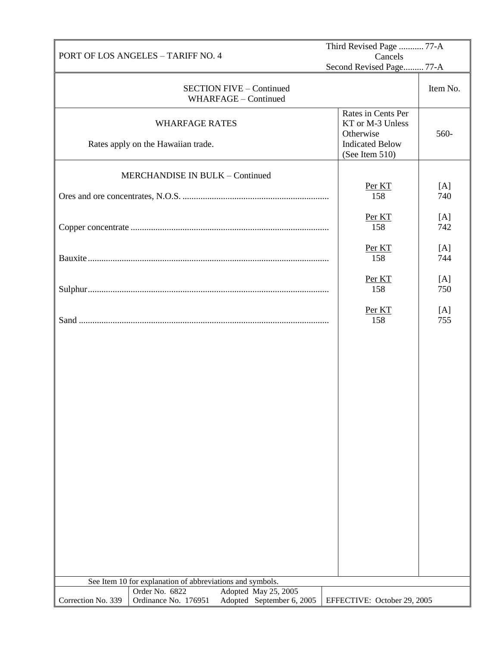|                    |                                                                             |                      |                                 | Third Revised Page  77-A                 |            |
|--------------------|-----------------------------------------------------------------------------|----------------------|---------------------------------|------------------------------------------|------------|
|                    | PORT OF LOS ANGELES - TARIFF NO. 4                                          |                      |                                 | Cancels<br>Second Revised Page 77-A      |            |
|                    |                                                                             |                      |                                 |                                          |            |
|                    |                                                                             | WHARFAGE - Continued | <b>SECTION FIVE - Continued</b> |                                          | Item No.   |
|                    |                                                                             |                      |                                 | Rates in Cents Per                       |            |
|                    | <b>WHARFAGE RATES</b>                                                       |                      |                                 | KT or M-3 Unless                         |            |
|                    |                                                                             |                      |                                 | Otherwise                                | 560-       |
|                    | Rates apply on the Hawaiian trade.                                          |                      |                                 | <b>Indicated Below</b><br>(See Item 510) |            |
|                    |                                                                             |                      |                                 |                                          |            |
|                    | MERCHANDISE IN BULK - Continued                                             |                      |                                 |                                          |            |
|                    |                                                                             |                      |                                 | Per KT<br>158                            | [A]<br>740 |
|                    |                                                                             |                      |                                 |                                          |            |
|                    |                                                                             |                      |                                 | Per KT                                   | [A]        |
|                    |                                                                             |                      |                                 | 158                                      | 742        |
|                    |                                                                             |                      |                                 | Per KT                                   | [A]        |
|                    |                                                                             |                      |                                 | 158                                      | 744        |
|                    |                                                                             |                      |                                 |                                          |            |
|                    |                                                                             |                      |                                 | Per KT<br>158                            | [A]<br>750 |
|                    |                                                                             |                      |                                 |                                          |            |
|                    |                                                                             |                      |                                 | Per KT                                   | [A]        |
|                    |                                                                             |                      |                                 | 158                                      | 755        |
|                    |                                                                             |                      |                                 |                                          |            |
|                    |                                                                             |                      |                                 |                                          |            |
|                    |                                                                             |                      |                                 |                                          |            |
|                    |                                                                             |                      |                                 |                                          |            |
|                    |                                                                             |                      |                                 |                                          |            |
|                    |                                                                             |                      |                                 |                                          |            |
|                    |                                                                             |                      |                                 |                                          |            |
|                    |                                                                             |                      |                                 |                                          |            |
|                    |                                                                             |                      |                                 |                                          |            |
|                    |                                                                             |                      |                                 |                                          |            |
|                    |                                                                             |                      |                                 |                                          |            |
|                    |                                                                             |                      |                                 |                                          |            |
|                    |                                                                             |                      |                                 |                                          |            |
|                    |                                                                             |                      |                                 |                                          |            |
|                    |                                                                             |                      |                                 |                                          |            |
|                    |                                                                             |                      |                                 |                                          |            |
|                    |                                                                             |                      |                                 |                                          |            |
|                    |                                                                             |                      |                                 |                                          |            |
|                    | See Item 10 for explanation of abbreviations and symbols.<br>Order No. 6822 |                      | Adopted May 25, 2005            |                                          |            |
| Correction No. 339 | Ordinance No. 176951                                                        |                      | Adopted September 6, 2005       | EFFECTIVE: October 29, 2005              |            |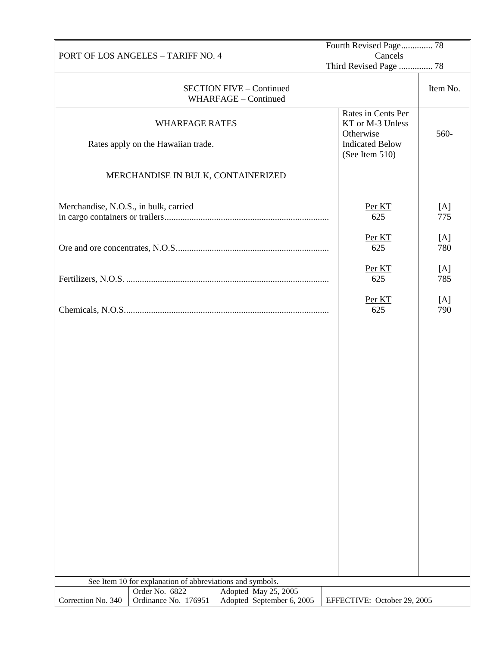| PORT OF LOS ANGELES - TARIFF NO. 4                                                                                | Fourth Revised Page 78<br>Cancels                                                               |            |
|-------------------------------------------------------------------------------------------------------------------|-------------------------------------------------------------------------------------------------|------------|
|                                                                                                                   | Third Revised Page  78                                                                          |            |
| <b>SECTION FIVE - Continued</b><br>WHARFAGE - Continued                                                           |                                                                                                 | Item No.   |
| <b>WHARFAGE RATES</b><br>Rates apply on the Hawaiian trade.                                                       | Rates in Cents Per<br>KT or M-3 Unless<br>Otherwise<br><b>Indicated Below</b><br>(See Item 510) | 560-       |
| MERCHANDISE IN BULK, CONTAINERIZED                                                                                |                                                                                                 |            |
| Merchandise, N.O.S., in bulk, carried                                                                             | Per KT<br>625                                                                                   | [A]<br>775 |
|                                                                                                                   | Per KT<br>625                                                                                   | [A]<br>780 |
|                                                                                                                   | Per KT<br>625                                                                                   | [A]<br>785 |
|                                                                                                                   | Per KT<br>625                                                                                   | [A]<br>790 |
|                                                                                                                   |                                                                                                 |            |
|                                                                                                                   |                                                                                                 |            |
|                                                                                                                   |                                                                                                 |            |
|                                                                                                                   |                                                                                                 |            |
|                                                                                                                   |                                                                                                 |            |
|                                                                                                                   |                                                                                                 |            |
|                                                                                                                   |                                                                                                 |            |
|                                                                                                                   |                                                                                                 |            |
|                                                                                                                   |                                                                                                 |            |
| See Item 10 for explanation of abbreviations and symbols.                                                         |                                                                                                 |            |
| Order No. 6822<br>Adopted May 25, 2005<br>Ordinance No. 176951<br>Correction No. 340<br>Adopted September 6, 2005 | EFFECTIVE: October 29, 2005                                                                     |            |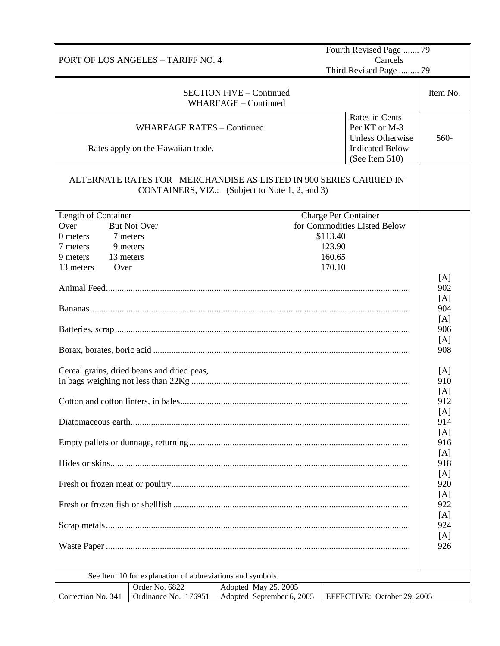|                       | PORT OF LOS ANGELES - TARIFF NO. 4                                                                                    |                                                         |                             | Fourth Revised Page  79<br>Cancels                         |          |
|-----------------------|-----------------------------------------------------------------------------------------------------------------------|---------------------------------------------------------|-----------------------------|------------------------------------------------------------|----------|
|                       |                                                                                                                       |                                                         |                             | Third Revised Page  79                                     |          |
|                       |                                                                                                                       | <b>SECTION FIVE - Continued</b><br>WHARFAGE - Continued |                             |                                                            | Item No. |
|                       | <b>WHARFAGE RATES - Continued</b>                                                                                     |                                                         |                             | Rates in Cents<br>Per KT or M-3<br><b>Unless Otherwise</b> | 560-     |
|                       | Rates apply on the Hawaiian trade.                                                                                    |                                                         |                             | <b>Indicated Below</b><br>(See Item 510)                   |          |
|                       | ALTERNATE RATES FOR MERCHANDISE AS LISTED IN 900 SERIES CARRIED IN<br>CONTAINERS, VIZ.: (Subject to Note 1, 2, and 3) |                                                         |                             |                                                            |          |
| Length of Container   |                                                                                                                       |                                                         | <b>Charge Per Container</b> |                                                            |          |
| Over                  | <b>But Not Over</b>                                                                                                   |                                                         |                             | for Commodities Listed Below                               |          |
| 7 meters<br>0 meters  |                                                                                                                       |                                                         | \$113.40                    |                                                            |          |
| 7 meters              | 9 meters                                                                                                              |                                                         | 123.90                      |                                                            |          |
| 9 meters<br>13 meters |                                                                                                                       |                                                         | 160.65                      |                                                            |          |
| 13 meters<br>Over     |                                                                                                                       |                                                         | 170.10                      |                                                            |          |
|                       |                                                                                                                       |                                                         |                             |                                                            | [A]      |
|                       |                                                                                                                       |                                                         |                             |                                                            | 902      |
|                       |                                                                                                                       |                                                         |                             |                                                            |          |
|                       |                                                                                                                       |                                                         |                             |                                                            | [A]      |
|                       |                                                                                                                       |                                                         |                             |                                                            | 904      |
|                       |                                                                                                                       |                                                         |                             |                                                            | [A]      |
|                       |                                                                                                                       |                                                         |                             |                                                            | 906      |
|                       |                                                                                                                       |                                                         |                             |                                                            | [A]      |
|                       |                                                                                                                       |                                                         |                             |                                                            | 908      |
|                       | Cereal grains, dried beans and dried peas,                                                                            |                                                         |                             |                                                            | [A]      |
|                       |                                                                                                                       |                                                         |                             |                                                            | 910      |
|                       |                                                                                                                       |                                                         |                             |                                                            | [A]      |
|                       |                                                                                                                       |                                                         |                             |                                                            | 912      |
|                       |                                                                                                                       |                                                         |                             |                                                            | [A]      |
|                       |                                                                                                                       |                                                         |                             |                                                            | 914      |
|                       |                                                                                                                       |                                                         |                             |                                                            | [A]      |
|                       |                                                                                                                       |                                                         |                             |                                                            | 916      |
|                       |                                                                                                                       |                                                         |                             |                                                            |          |
|                       |                                                                                                                       |                                                         |                             |                                                            | [A]      |
|                       |                                                                                                                       |                                                         |                             |                                                            | 918      |
|                       |                                                                                                                       |                                                         |                             |                                                            | [A]      |
|                       |                                                                                                                       |                                                         |                             |                                                            | 920      |
|                       |                                                                                                                       |                                                         |                             |                                                            | [A]      |
|                       |                                                                                                                       |                                                         |                             |                                                            | 922      |
|                       |                                                                                                                       |                                                         |                             |                                                            | [A]      |
|                       |                                                                                                                       |                                                         |                             |                                                            | 924      |
|                       |                                                                                                                       |                                                         |                             |                                                            | [A]      |
|                       |                                                                                                                       |                                                         |                             |                                                            | 926      |
|                       | See Item 10 for explanation of abbreviations and symbols.                                                             |                                                         |                             |                                                            |          |
|                       | Order No. 6822                                                                                                        | Adopted May 25, 2005                                    |                             |                                                            |          |
|                       |                                                                                                                       |                                                         |                             |                                                            |          |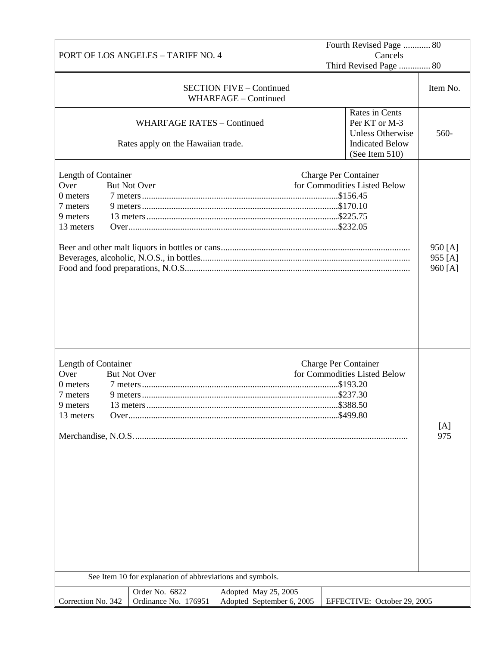|                                                                                      |                                                                         |                                                         | Fourth Revised Page  80                                                                                |                               |
|--------------------------------------------------------------------------------------|-------------------------------------------------------------------------|---------------------------------------------------------|--------------------------------------------------------------------------------------------------------|-------------------------------|
|                                                                                      | <b>PORT OF LOS ANGELES - TARIFF NO. 4</b>                               |                                                         | Cancels<br>Third Revised Page  80                                                                      |                               |
|                                                                                      |                                                                         | <b>SECTION FIVE - Continued</b><br>WHARFAGE - Continued |                                                                                                        | Item No.                      |
|                                                                                      | <b>WHARFAGE RATES - Continued</b><br>Rates apply on the Hawaiian trade. |                                                         | Rates in Cents<br>Per KT or M-3<br><b>Unless Otherwise</b><br><b>Indicated Below</b><br>(See Item 510) | 560-                          |
| Length of Container<br>Over<br>0 meters<br>7 meters<br>9 meters<br>13 meters         | <b>But Not Over</b>                                                     |                                                         | <b>Charge Per Container</b><br>for Commodities Listed Below                                            | 950 [A]<br>955 [A]<br>960 [A] |
| Length of Container<br>Over<br>0 meters<br>7 meters<br>9 meters<br>13 meters<br>Over | <b>But Not Over</b>                                                     |                                                         | <b>Charge Per Container</b><br>for Commodities Listed Below<br>\$499.80                                | [A]<br>975                    |
|                                                                                      | See Item 10 for explanation of abbreviations and symbols.               |                                                         |                                                                                                        |                               |
|                                                                                      | Order No. 6822                                                          | Adopted May 25, 2005                                    |                                                                                                        |                               |
| Correction No. 342                                                                   | Ordinance No. 176951                                                    | Adopted September 6, 2005                               | EFFECTIVE: October 29, 2005                                                                            |                               |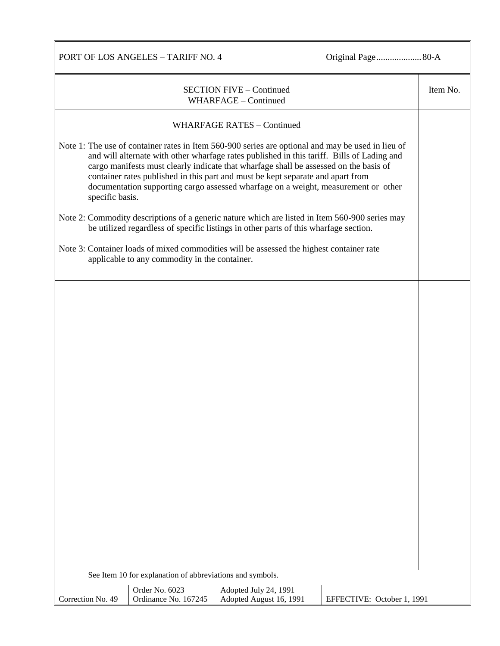PORT OF LOS ANGELES – TARIFF NO. 4 Original Page....................80-A

|                   |                                                           | <b>SECTION FIVE - Continued</b><br>WHARFAGE - Continued                                                                                                                                                                                                                                                                                                                                                                                                           |                            | Item No. |
|-------------------|-----------------------------------------------------------|-------------------------------------------------------------------------------------------------------------------------------------------------------------------------------------------------------------------------------------------------------------------------------------------------------------------------------------------------------------------------------------------------------------------------------------------------------------------|----------------------------|----------|
|                   |                                                           | <b>WHARFAGE RATES - Continued</b>                                                                                                                                                                                                                                                                                                                                                                                                                                 |                            |          |
| specific basis.   |                                                           | Note 1: The use of container rates in Item 560-900 series are optional and may be used in lieu of<br>and will alternate with other wharfage rates published in this tariff. Bills of Lading and<br>cargo manifests must clearly indicate that wharfage shall be assessed on the basis of<br>container rates published in this part and must be kept separate and apart from<br>documentation supporting cargo assessed wharfage on a weight, measurement or other |                            |          |
|                   |                                                           | Note 2: Commodity descriptions of a generic nature which are listed in Item 560-900 series may<br>be utilized regardless of specific listings in other parts of this wharfage section.                                                                                                                                                                                                                                                                            |                            |          |
|                   | applicable to any commodity in the container.             | Note 3: Container loads of mixed commodities will be assessed the highest container rate                                                                                                                                                                                                                                                                                                                                                                          |                            |          |
|                   |                                                           |                                                                                                                                                                                                                                                                                                                                                                                                                                                                   |                            |          |
|                   |                                                           |                                                                                                                                                                                                                                                                                                                                                                                                                                                                   |                            |          |
|                   |                                                           |                                                                                                                                                                                                                                                                                                                                                                                                                                                                   |                            |          |
|                   |                                                           |                                                                                                                                                                                                                                                                                                                                                                                                                                                                   |                            |          |
|                   |                                                           |                                                                                                                                                                                                                                                                                                                                                                                                                                                                   |                            |          |
|                   |                                                           |                                                                                                                                                                                                                                                                                                                                                                                                                                                                   |                            |          |
|                   |                                                           |                                                                                                                                                                                                                                                                                                                                                                                                                                                                   |                            |          |
|                   |                                                           |                                                                                                                                                                                                                                                                                                                                                                                                                                                                   |                            |          |
|                   |                                                           |                                                                                                                                                                                                                                                                                                                                                                                                                                                                   |                            |          |
|                   |                                                           |                                                                                                                                                                                                                                                                                                                                                                                                                                                                   |                            |          |
|                   | See Item 10 for explanation of abbreviations and symbols. |                                                                                                                                                                                                                                                                                                                                                                                                                                                                   |                            |          |
| Correction No. 49 | Order No. 6023<br>Ordinance No. 167245                    | Adopted July 24, 1991<br>Adopted August 16, 1991                                                                                                                                                                                                                                                                                                                                                                                                                  | EFFECTIVE: October 1, 1991 |          |